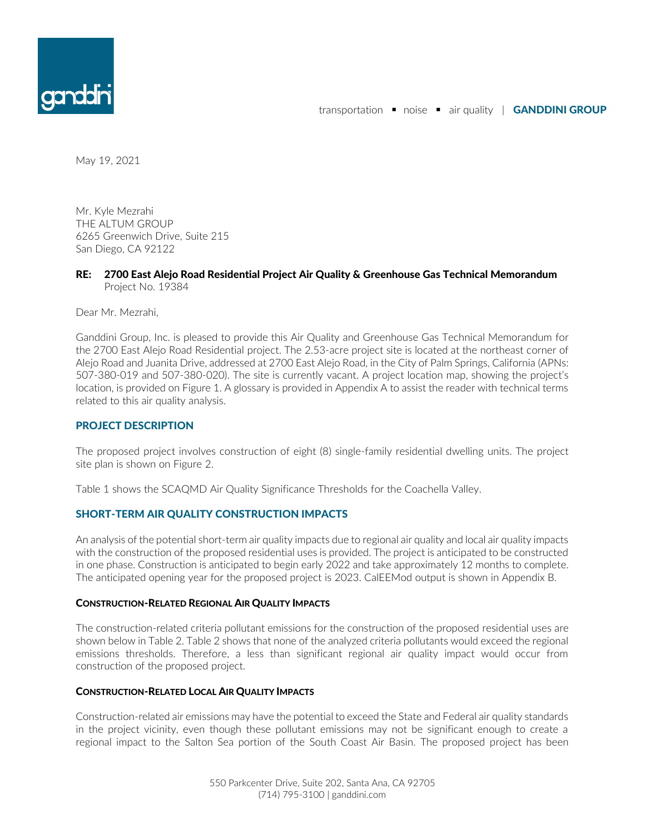transportation ■ noise ■ air quality | GANDDINI GROUP



May 19, 2021

Mr. Kyle Mezrahi THE ALTUM GROUP 6265 Greenwich Drive, Suite 215 San Diego, CA 92122

#### RE: 2700 East Alejo Road Residential Project Air Quality & Greenhouse Gas Technical Memorandum Project No. 19384

Dear Mr. Mezrahi,

Ganddini Group, Inc. is pleased to provide this Air Quality and Greenhouse Gas Technical Memorandum for the 2700 East Alejo Road Residential project. The 2.53-acre project site is located at the northeast corner of Alejo Road and Juanita Drive, addressed at 2700 East Alejo Road, in the City of Palm Springs, California (APNs: 507-380-019 and 507-380-020). The site is currently vacant. A project location map, showing the project's location, is provided on Figure 1. A glossary is provided in Appendix A to assist the reader with technical terms related to this air quality analysis.

#### PROJECT DESCRIPTION

The proposed project involves construction of eight (8) single-family residential dwelling units. The project site plan is shown on Figure 2.

Table 1 shows the SCAQMD Air Quality Significance Thresholds for the Coachella Valley.

#### SHORT-TERM AIR QUALITY CONSTRUCTION IMPACTS

An analysis of the potential short-term air quality impacts due to regional air quality and local air quality impacts with the construction of the proposed residential uses is provided. The project is anticipated to be constructed in one phase. Construction is anticipated to begin early 2022 and take approximately 12 months to complete. The anticipated opening year for the proposed project is 2023. CalEEMod output is shown in Appendix B.

#### CONSTRUCTION-RELATED REGIONAL AIR QUALITY IMPACTS

The construction-related criteria pollutant emissions for the construction of the proposed residential uses are shown below in Table 2. Table 2 shows that none of the analyzed criteria pollutants would exceed the regional emissions thresholds. Therefore, a less than significant regional air quality impact would occur from construction of the proposed project.

#### CONSTRUCTION-RELATED LOCAL AIR QUALITY IMPACTS

Construction-related air emissions may have the potential to exceed the State and Federal air quality standards in the project vicinity, even though these pollutant emissions may not be significant enough to create a regional impact to the Salton Sea portion of the South Coast Air Basin. The proposed project has been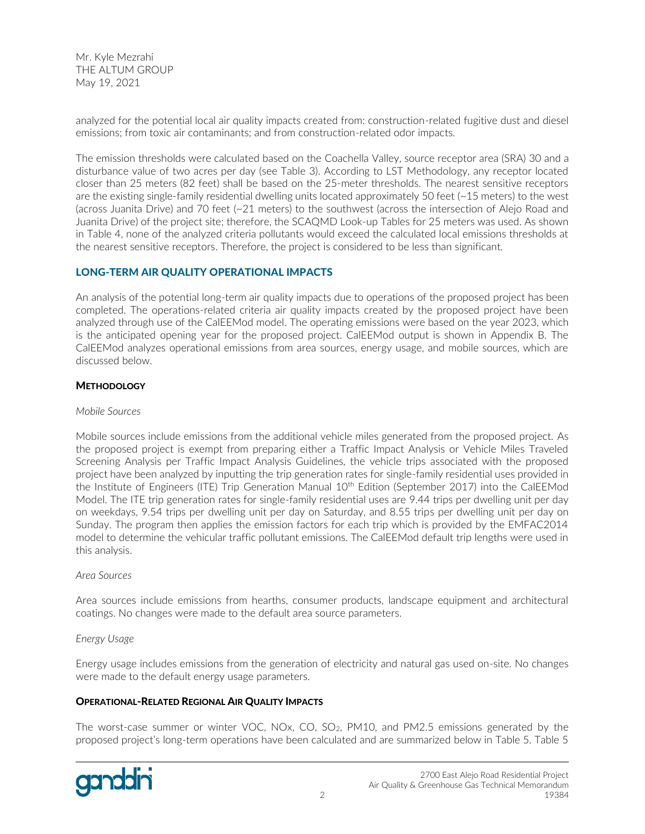analyzed for the potential local air quality impacts created from: construction-related fugitive dust and diesel emissions; from toxic air contaminants; and from construction-related odor impacts.

The emission thresholds were calculated based on the Coachella Valley, source receptor area (SRA) 30 and a disturbance value of two acres per day (see Table 3). According to LST Methodology, any receptor located closer than 25 meters (82 feet) shall be based on the 25-meter thresholds. The nearest sensitive receptors are the existing single-family residential dwelling units located approximately 50 feet (~15 meters) to the west (across Juanita Drive) and 70 feet (~21 meters) to the southwest (across the intersection of Alejo Road and Juanita Drive) of the project site; therefore, the SCAQMD Look-up Tables for 25 meters was used. As shown in Table 4, none of the analyzed criteria pollutants would exceed the calculated local emissions thresholds at the nearest sensitive receptors. Therefore, the project is considered to be less than significant.

#### LONG-TERM AIR QUALITY OPERATIONAL IMPACTS

An analysis of the potential long-term air quality impacts due to operations of the proposed project has been completed. The operations-related criteria air quality impacts created by the proposed project have been analyzed through use of the CalEEMod model. The operating emissions were based on the year 2023, which is the anticipated opening year for the proposed project. CalEEMod output is shown in Appendix B. The CalEEMod analyzes operational emissions from area sources, energy usage, and mobile sources, which are discussed below.

#### **METHODOLOGY**

#### *Mobile Sources*

Mobile sources include emissions from the additional vehicle miles generated from the proposed project. As the proposed project is exempt from preparing either a Traffic Impact Analysis or Vehicle Miles Traveled Screening Analysis per Traffic Impact Analysis Guidelines, the vehicle trips associated with the proposed project have been analyzed by inputting the trip generation rates for single-family residential uses provided in the Institute of Engineers (ITE) Trip Generation Manual  $10<sup>th</sup>$  Edition (September 2017) into the CalEEMod Model. The ITE trip generation rates for single-family residential uses are 9.44 trips per dwelling unit per day on weekdays, 9.54 trips per dwelling unit per day on Saturday, and 8.55 trips per dwelling unit per day on Sunday. The program then applies the emission factors for each trip which is provided by the EMFAC2014 model to determine the vehicular traffic pollutant emissions. The CalEEMod default trip lengths were used in this analysis.

#### *Area Sources*

Area sources include emissions from hearths, consumer products, landscape equipment and architectural coatings. No changes were made to the default area source parameters.

#### *Energy Usage*

Energy usage includes emissions from the generation of electricity and natural gas used on-site. No changes were made to the default energy usage parameters.

#### OPERATIONAL-RELATED REGIONAL AIR QUALITY IMPACTS

The worst-case summer or winter VOC, NOx, CO, SO<sub>2</sub>, PM10, and PM2.5 emissions generated by the proposed project's long-term operations have been calculated and are summarized below in Table 5. Table 5

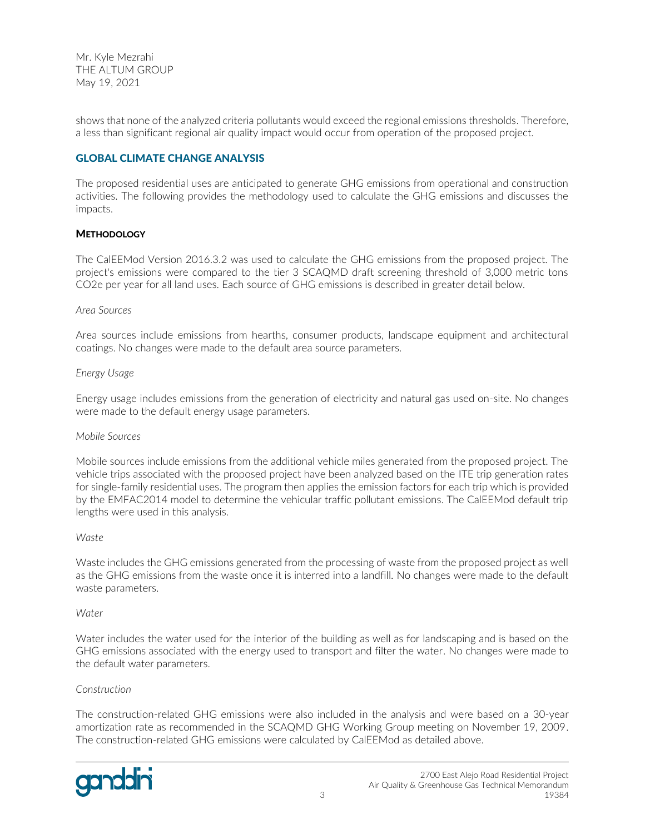shows that none of the analyzed criteria pollutants would exceed the regional emissions thresholds. Therefore, a less than significant regional air quality impact would occur from operation of the proposed project.

#### GLOBAL CLIMATE CHANGE ANALYSIS

The proposed residential uses are anticipated to generate GHG emissions from operational and construction activities. The following provides the methodology used to calculate the GHG emissions and discusses the impacts.

#### **METHODOLOGY**

The CalEEMod Version 2016.3.2 was used to calculate the GHG emissions from the proposed project. The project's emissions were compared to the tier 3 SCAQMD draft screening threshold of 3,000 metric tons CO2e per year for all land uses. Each source of GHG emissions is described in greater detail below.

#### *Area Sources*

Area sources include emissions from hearths, consumer products, landscape equipment and architectural coatings. No changes were made to the default area source parameters.

#### *Energy Usage*

Energy usage includes emissions from the generation of electricity and natural gas used on-site. No changes were made to the default energy usage parameters.

#### *Mobile Sources*

Mobile sources include emissions from the additional vehicle miles generated from the proposed project. The vehicle trips associated with the proposed project have been analyzed based on the ITE trip generation rates for single-family residential uses. The program then applies the emission factors for each trip which is provided by the EMFAC2014 model to determine the vehicular traffic pollutant emissions. The CalEEMod default trip lengths were used in this analysis.

#### *Waste*

Waste includes the GHG emissions generated from the processing of waste from the proposed project as well as the GHG emissions from the waste once it is interred into a landfill. No changes were made to the default waste parameters.

#### *Water*

Water includes the water used for the interior of the building as well as for landscaping and is based on the GHG emissions associated with the energy used to transport and filter the water. No changes were made to the default water parameters.

#### *Construction*

The construction-related GHG emissions were also included in the analysis and were based on a 30-year amortization rate as recommended in the SCAQMD GHG Working Group meeting on November 19, 2009. The construction-related GHG emissions were calculated by CalEEMod as detailed above.

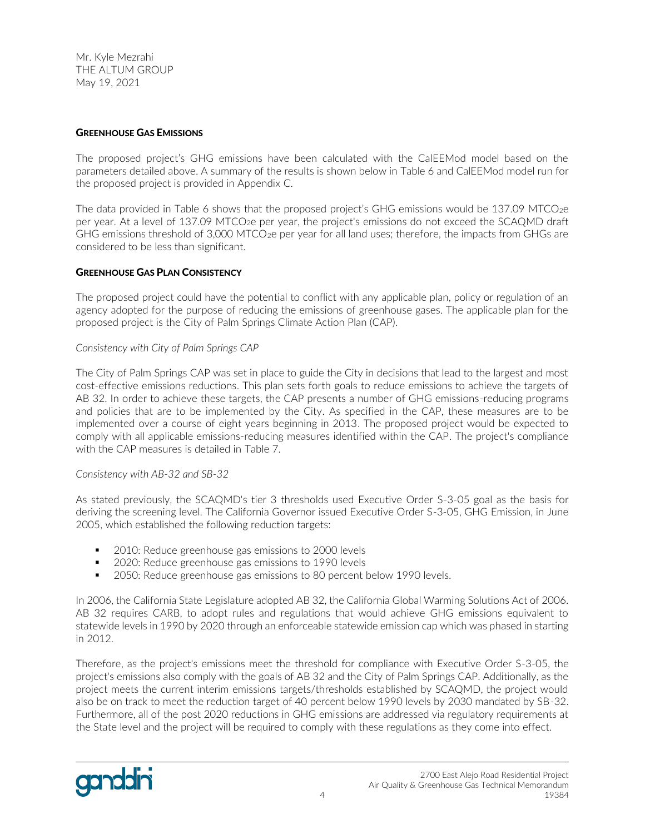#### GREENHOUSE GAS EMISSIONS

The proposed project's GHG emissions have been calculated with the CalEEMod model based on the parameters detailed above. A summary of the results is shown below in Table 6 and CalEEMod model run for the proposed project is provided in Appendix C.

The data provided in Table 6 shows that the proposed project's GHG emissions would be 137.09 MTCO<sub>2</sub>e per year. At a level of 137.09 MTCO<sub>2</sub>e per year, the project's emissions do not exceed the SCAQMD draft GHG emissions threshold of 3,000 MTCO<sub>2</sub>e per year for all land uses; therefore, the impacts from GHGs are considered to be less than significant.

#### GREENHOUSE GAS PLAN CONSISTENCY

The proposed project could have the potential to conflict with any applicable plan, policy or regulation of an agency adopted for the purpose of reducing the emissions of greenhouse gases. The applicable plan for the proposed project is the City of Palm Springs Climate Action Plan (CAP).

#### *Consistency with City of Palm Springs CAP*

The City of Palm Springs CAP was set in place to guide the City in decisions that lead to the largest and most cost-effective emissions reductions. This plan sets forth goals to reduce emissions to achieve the targets of AB 32. In order to achieve these targets, the CAP presents a number of GHG emissions-reducing programs and policies that are to be implemented by the City. As specified in the CAP, these measures are to be implemented over a course of eight years beginning in 2013. The proposed project would be expected to comply with all applicable emissions-reducing measures identified within the CAP. The project's compliance with the CAP measures is detailed in Table 7.

#### *Consistency with AB-32 and SB-32*

As stated previously, the SCAQMD's tier 3 thresholds used Executive Order S-3-05 goal as the basis for deriving the screening level. The California Governor issued Executive Order S-3-05, GHG Emission, in June 2005, which established the following reduction targets:

- 2010: Reduce greenhouse gas emissions to 2000 levels
- 2020: Reduce greenhouse gas emissions to 1990 levels
- 2050: Reduce greenhouse gas emissions to 80 percent below 1990 levels.

In 2006, the California State Legislature adopted AB 32, the California Global Warming Solutions Act of 2006. AB 32 requires CARB, to adopt rules and regulations that would achieve GHG emissions equivalent to statewide levels in 1990 by 2020 through an enforceable statewide emission cap which was phased in starting in 2012.

Therefore, as the project's emissions meet the threshold for compliance with Executive Order S-3-05, the project's emissions also comply with the goals of AB 32 and the City of Palm Springs CAP. Additionally, as the project meets the current interim emissions targets/thresholds established by SCAQMD, the project would also be on track to meet the reduction target of 40 percent below 1990 levels by 2030 mandated by SB-32. Furthermore, all of the post 2020 reductions in GHG emissions are addressed via regulatory requirements at the State level and the project will be required to comply with these regulations as they come into effect.

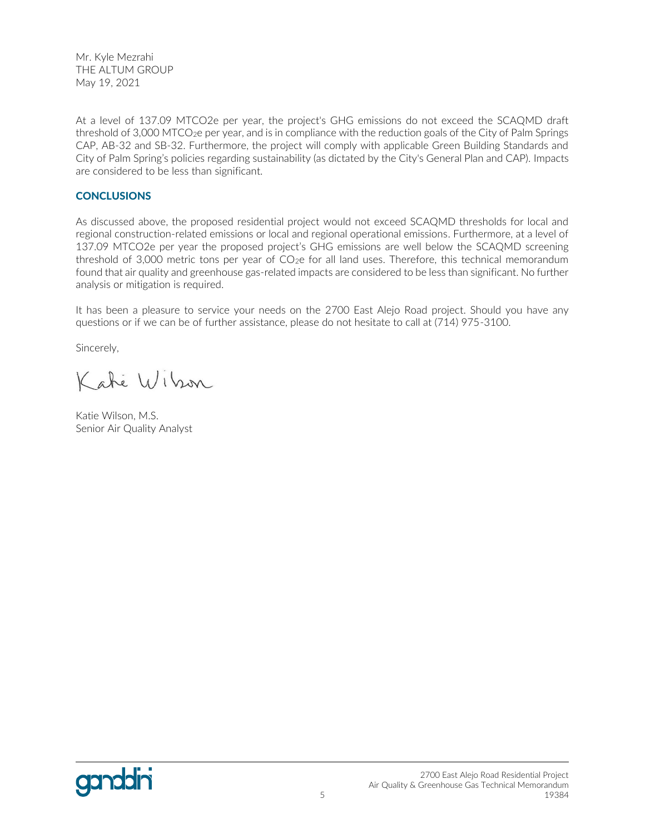At a level of 137.09 MTCO2e per year, the project's GHG emissions do not exceed the SCAQMD draft threshold of 3,000 MTCO<sub>2</sub>e per year, and is in compliance with the reduction goals of the City of Palm Springs CAP, AB-32 and SB-32. Furthermore, the project will comply with applicable Green Building Standards and City of Palm Spring's policies regarding sustainability (as dictated by the City's General Plan and CAP). Impacts are considered to be less than significant.

#### **CONCLUSIONS**

As discussed above, the proposed residential project would not exceed SCAQMD thresholds for local and regional construction-related emissions or local and regional operational emissions. Furthermore, at a level of 137.09 MTCO2e per year the proposed project's GHG emissions are well below the SCAQMD screening threshold of 3,000 metric tons per year of CO<sub>2</sub>e for all land uses. Therefore, this technical memorandum found that air quality and greenhouse gas-related impacts are considered to be less than significant. No further analysis or mitigation is required.

It has been a pleasure to service your needs on the 2700 East Alejo Road project. Should you have any questions or if we can be of further assistance, please do not hesitate to call at (714) 975-3100.

Sincerely,

Kahé Wilson

Katie Wilson, M.S. Senior Air Quality Analyst

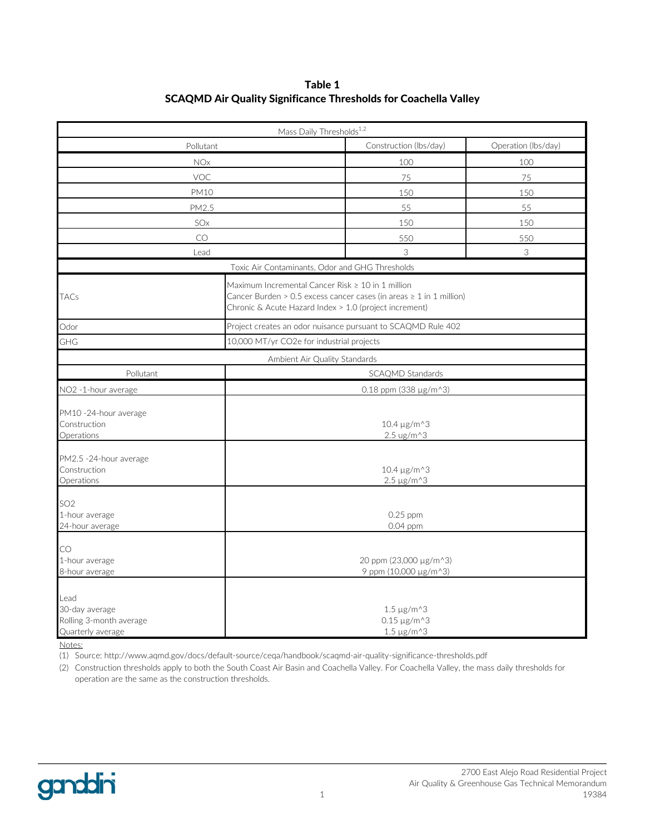SCAQMD Air Quality Significance Thresholds for Coachella Valley Table 1

|                                                                                                       |                                                   | Mass Daily Thresholds <sup>1,2</sup>                                                                                               |                     |  |  |
|-------------------------------------------------------------------------------------------------------|---------------------------------------------------|------------------------------------------------------------------------------------------------------------------------------------|---------------------|--|--|
|                                                                                                       | Pollutant                                         | Construction (lbs/day)                                                                                                             | Operation (lbs/day) |  |  |
|                                                                                                       | <b>NOx</b>                                        | 100                                                                                                                                | 100                 |  |  |
|                                                                                                       | VOC                                               | 75                                                                                                                                 | 75                  |  |  |
|                                                                                                       | <b>PM10</b>                                       | 150                                                                                                                                | 150                 |  |  |
|                                                                                                       | PM2.5                                             | 55                                                                                                                                 | 55                  |  |  |
|                                                                                                       | SO <sub>x</sub>                                   | 150                                                                                                                                | 150                 |  |  |
|                                                                                                       | CO                                                | 550                                                                                                                                | 550                 |  |  |
|                                                                                                       | Lead                                              | 3                                                                                                                                  | 3                   |  |  |
|                                                                                                       |                                                   | Toxic Air Contaminants, Odor and GHG Thresholds                                                                                    |                     |  |  |
| <b>TACs</b>                                                                                           | Maximum Incremental Cancer Risk ≥ 10 in 1 million | Cancer Burden > 0.5 excess cancer cases (in areas $\geq 1$ in 1 million)<br>Chronic & Acute Hazard Index > 1.0 (project increment) |                     |  |  |
| Odor                                                                                                  |                                                   | Project creates an odor nuisance pursuant to SCAQMD Rule 402                                                                       |                     |  |  |
| GHG                                                                                                   | 10,000 MT/yr CO2e for industrial projects         |                                                                                                                                    |                     |  |  |
|                                                                                                       |                                                   | Ambient Air Quality Standards                                                                                                      |                     |  |  |
| Pollutant                                                                                             |                                                   | SCAQMD Standards                                                                                                                   |                     |  |  |
| NO2 -1-hour average                                                                                   |                                                   | 0.18 ppm (338 µg/m^3)                                                                                                              |                     |  |  |
| PM10 -24-hour average<br>Construction<br>Operations                                                   |                                                   | $10.4 \mu g/m^{3}$<br>$2.5 \text{ ug/m}^3$                                                                                         |                     |  |  |
| PM2.5 -24-hour average<br>Construction<br>Operations                                                  |                                                   | $10.4 \mu g/m^{3}$<br>$2.5 \,\mu g/m^{3}$                                                                                          |                     |  |  |
| SO <sub>2</sub><br>1-hour average<br>24-hour average                                                  |                                                   | 0.25 ppm<br>$0.04$ ppm                                                                                                             |                     |  |  |
| CO<br>20 ppm (23,000 μg/m <sup>^3)</sup><br>1-hour average<br>8-hour average<br>9 ppm (10,000 µg/m^3) |                                                   |                                                                                                                                    |                     |  |  |
| Lead<br>30-day average<br>Rolling 3-month average<br>Quarterly average                                |                                                   | $1.5 \,\mu g/m^{3}$<br>$0.15 \,\mathrm{\mu g/m}$ ^3<br>$1.5 \,\mu g/m \,{}^{\wedge}3$                                              |                     |  |  |

(1) Source: http://www.aqmd.gov/docs/default-source/ceqa/handbook/scaqmd-air-quality-significance-thresholds.pdf

(2) Construction thresholds apply to both the South Coast Air Basin and Coachella Valley. For Coachella Valley, the mass daily thresholds for operation are the same as the construction thresholds.

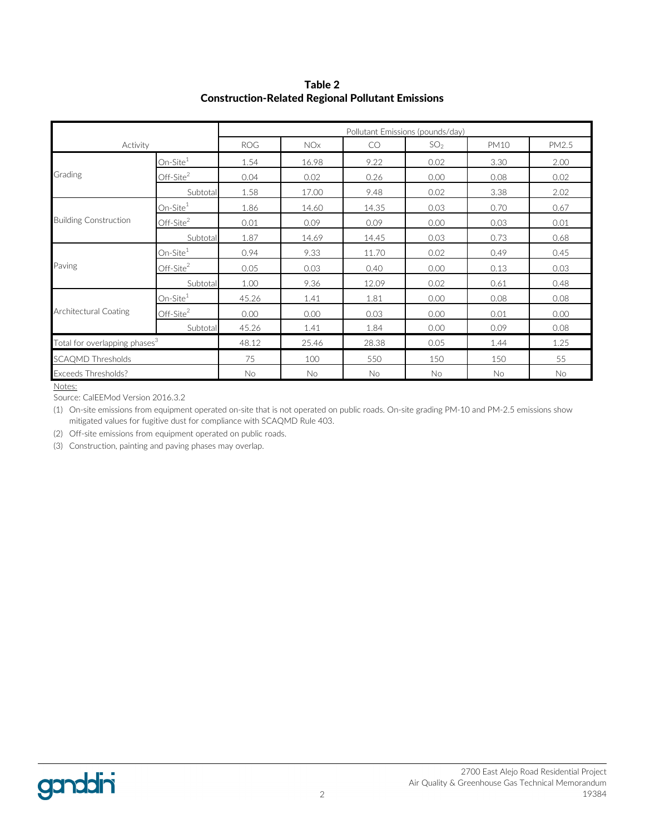Construction-Related Regional Pollutant Emissions Table 2

|                                           |             | Pollutant Emissions (pounds/day) |            |           |                 |             |           |  |  |  |  |
|-------------------------------------------|-------------|----------------------------------|------------|-----------|-----------------|-------------|-----------|--|--|--|--|
| Activity                                  |             | <b>ROG</b>                       | <b>NOx</b> | <b>CO</b> | SO <sub>2</sub> | <b>PM10</b> | PM2.5     |  |  |  |  |
|                                           | $On-Site1$  | 1.54                             | 16.98      | 9.22      | 0.02            | 3.30        | 2.00      |  |  |  |  |
| Grading                                   | $Off-Site2$ | 0.04                             | 0.02       | 0.26      | 0.00            | 0.08        | 0.02      |  |  |  |  |
|                                           | Subtotal    | 1.58                             | 17.00      | 9.48      | 0.02            | 3.38        | 2.02      |  |  |  |  |
|                                           | $On-Site1$  | 1.86                             | 14.60      | 14.35     | 0.03            | 0.70        | 0.67      |  |  |  |  |
| <b>Building Construction</b>              | $Off-Site2$ | 0.01                             | 0.09       | 0.09      | 0.00            | 0.03        | 0.01      |  |  |  |  |
|                                           | Subtotal    | 1.87                             | 14.69      | 14.45     | 0.03            | 0.73        | 0.68      |  |  |  |  |
|                                           | $On-Site1$  | 0.94                             | 9.33       | 11.70     | 0.02            | 0.49        | 0.45      |  |  |  |  |
| Paving                                    | $Off-Site2$ | 0.05                             | 0.03       | 0.40      | 0.00            | 0.13        | 0.03      |  |  |  |  |
|                                           | Subtotal    | 1.00                             | 9.36       | 12.09     | 0.02            | 0.61        | 0.48      |  |  |  |  |
|                                           | $On-Site1$  | 45.26                            | 1.41       | 1.81      | 0.00            | 0.08        | 0.08      |  |  |  |  |
| <b>Architectural Coating</b>              | $Off-Site2$ | 0.00                             | 0.00       | 0.03      | 0.00            | 0.01        | 0.00      |  |  |  |  |
|                                           | Subtotal    | 45.26                            | 1.41       | 1.84      | 0.00            | 0.09        | 0.08      |  |  |  |  |
| Total for overlapping phases <sup>3</sup> |             | 48.12                            | 25.46      | 28.38     | 0.05            | 1.44        | 1.25      |  |  |  |  |
| <b>SCAQMD Thresholds</b>                  |             | 75                               | 100        | 550       | 150             | 150         | 55        |  |  |  |  |
| <b>Exceeds Thresholds?</b>                |             | No                               | No         | No        | <b>No</b>       | No          | <b>No</b> |  |  |  |  |

Source: CalEEMod Version 2016.3.2

(1) On-site emissions from equipment operated on-site that is not operated on public roads. On-site grading PM-10 and PM-2.5 emissions show mitigated values for fugitive dust for compliance with SCAQMD Rule 403.

(2) Off-site emissions from equipment operated on public roads.

(3) Construction, painting and paving phases may overlap.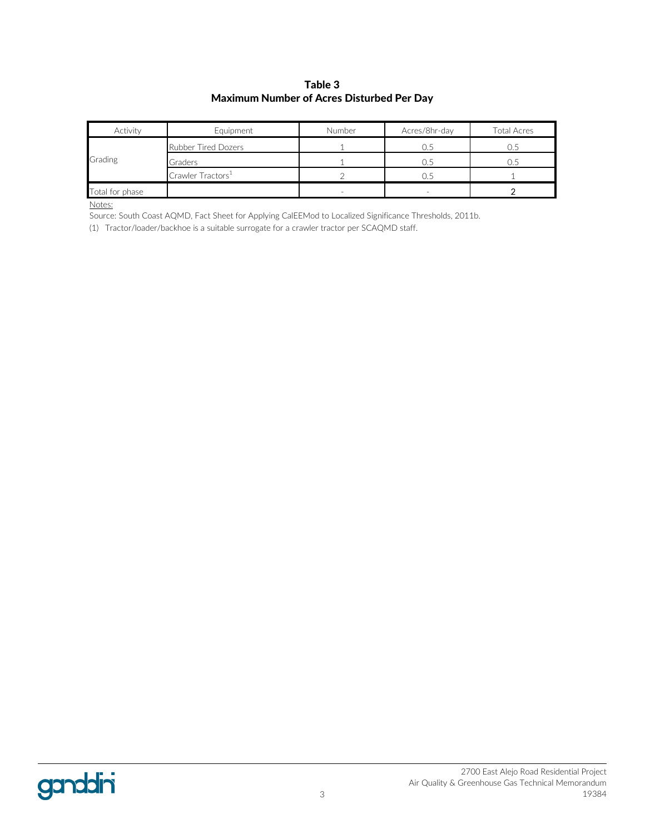Table 3 Maximum Number of Acres Disturbed Per Day

| Activity        | Equipment                     | Number | Acres/8hr-day | <b>Total Acres</b> |
|-----------------|-------------------------------|--------|---------------|--------------------|
|                 | Rubber Tired Dozers           |        | . J. H        |                    |
| Grading         | Graders                       |        | J. 5          |                    |
|                 | Crawler Tractors <sup>1</sup> |        | (             |                    |
| Total for phase |                               |        |               |                    |

Source: South Coast AQMD, Fact Sheet for Applying CalEEMod to Localized Significance Thresholds, 2011b.

(1) Tractor/loader/backhoe is a suitable surrogate for a crawler tractor per SCAQMD staff.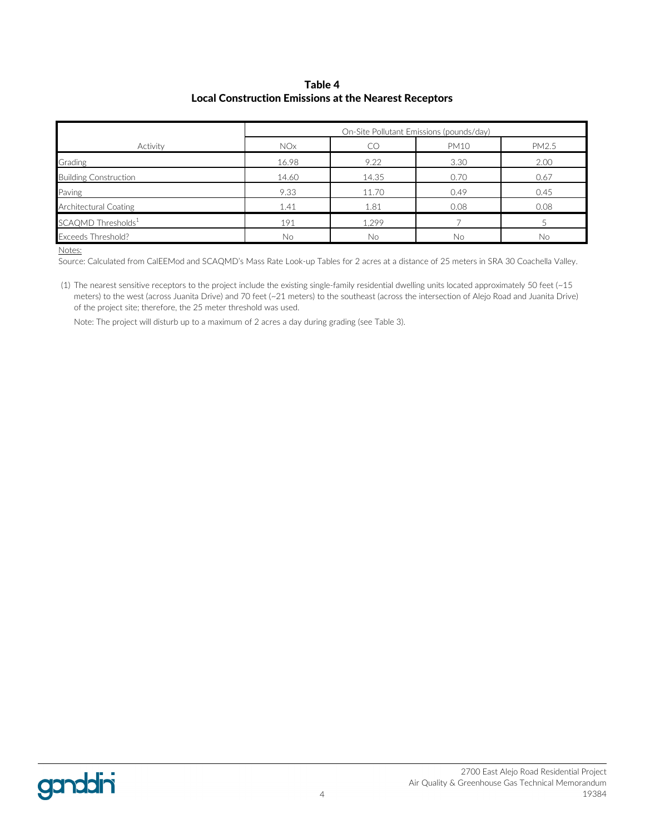#### Local Construction Emissions at the Nearest Receptors Table 4

|                                |            |           | On-Site Pollutant Emissions (pounds/day) |       |
|--------------------------------|------------|-----------|------------------------------------------|-------|
| Activity                       | <b>NOx</b> | CO        | <b>PM10</b>                              | PM2.5 |
| Grading                        | 16.98      | 9.22      | 3.30                                     | 2.00  |
| <b>Building Construction</b>   | 14.60      | 14.35     | 0.70                                     | 0.67  |
| Paving                         | 9.33       | 11.70     | 0.49                                     | 0.45  |
| <b>Architectural Coating</b>   | 1.41       | 1.81      | 0.08                                     | 0.08  |
| SCAQMD Thresholds <sup>1</sup> | 191        | 1.299     |                                          |       |
| Exceeds Threshold?             | <b>No</b>  | <b>No</b> | <b>No</b>                                | No    |

Notes:

Source: Calculated from CalEEMod and SCAQMD's Mass Rate Look-up Tables for 2 acres at a distance of 25 meters in SRA 30 Coachella Valley.

(1) The nearest sensitive receptors to the project include the existing single-family residential dwelling units located approximately 50 feet (~15 meters) to the west (across Juanita Drive) and 70 feet (~21 meters) to the southeast (across the intersection of Alejo Road and Juanita Drive) of the project site; therefore, the 25 meter threshold was used.

Note: The project will disturb up to a maximum of 2 acres a day during grading (see Table 3).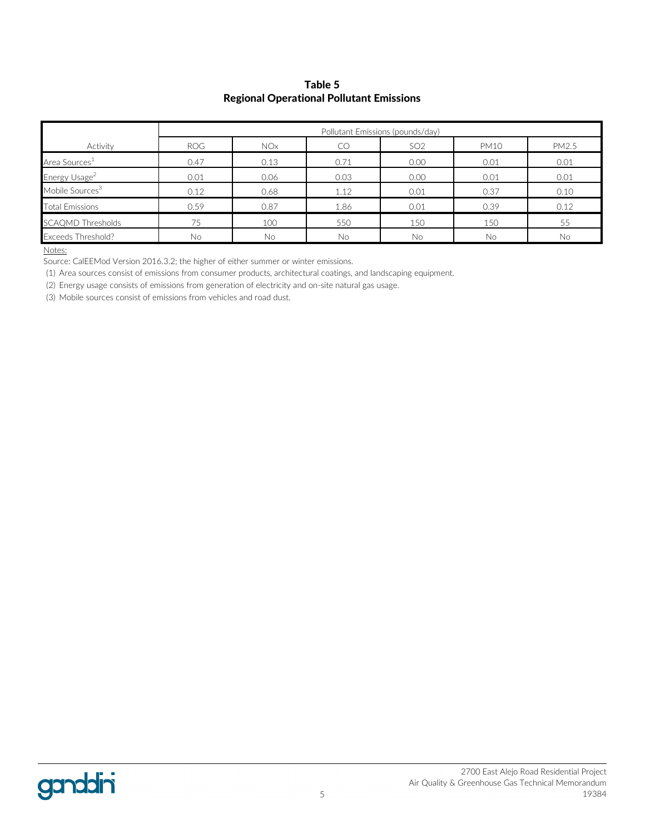### Regional Operational Pollutant Emissions Table 5

|                             | Pollutant Emissions (pounds/day) |            |      |                 |             |       |  |  |  |  |  |
|-----------------------------|----------------------------------|------------|------|-----------------|-------------|-------|--|--|--|--|--|
| Activity                    | <b>ROG</b>                       | <b>NOx</b> | CO   | SO <sub>2</sub> | <b>PM10</b> | PM2.5 |  |  |  |  |  |
| Area Sources <sup>1</sup>   | 0.47                             | 0.13       | 0.71 | 0.00            | 0.01        | 0.01  |  |  |  |  |  |
| Energy Usage <sup>2</sup>   | 0.01                             | 0.06       | 0.03 | 0.00            | 0.01        | 0.01  |  |  |  |  |  |
| Mobile Sources <sup>3</sup> | 0.12                             | 0.68       | 1.12 | 0.01            | 0.37        | 0.10  |  |  |  |  |  |
| <b>Total Emissions</b>      | 0.59                             | 0.87       | 1.86 | 0.01            | 0.39        | 0.12  |  |  |  |  |  |
| <b>SCAQMD Thresholds</b>    | 75                               | 100        | 550  | 150             | 150         | 55    |  |  |  |  |  |
| <b>Exceeds Threshold?</b>   | <b>No</b>                        | <b>No</b>  | No   | No              | No.         | No.   |  |  |  |  |  |

Notes:

Source: CalEEMod Version 2016.3.2; the higher of either summer or winter emissions.

(1) Area sources consist of emissions from consumer products, architectural coatings, and landscaping equipment.

(2) Energy usage consists of emissions from generation of electricity and on-site natural gas usage.

(3) Mobile sources consist of emissions from vehicles and road dust.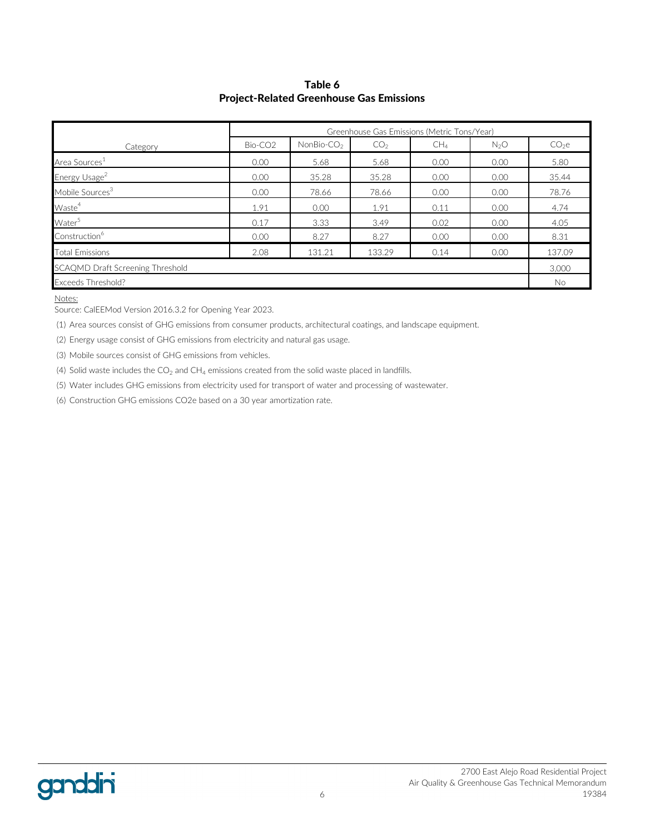#### Table 6 Project-Related Greenhouse Gas Emissions

|                                         | Greenhouse Gas Emissions (Metric Tons/Year) |                        |                 |                 |                  |                   |  |  |  |
|-----------------------------------------|---------------------------------------------|------------------------|-----------------|-----------------|------------------|-------------------|--|--|--|
| Category                                | Bio-CO <sub>2</sub>                         | NonBio-CO <sub>2</sub> | CO <sub>2</sub> | CH <sub>4</sub> | N <sub>2</sub> O | CO <sub>2</sub> e |  |  |  |
| Area Sources <sup>1</sup>               | 0.00                                        | 5.68                   | 5.68<br>0.00    |                 | 0.00             | 5.80              |  |  |  |
| Energy Usage <sup>2</sup>               | 0.00                                        | 35.28                  | 35.28           | 0.00            | 0.00             | 35.44             |  |  |  |
| Mobile Sources <sup>3</sup>             | 0.00                                        | 78.66                  | 78.66           | 0.00            | 0.00             | 78.76             |  |  |  |
| Waste <sup>4</sup>                      | 1.91                                        | 0.00                   | 1.91            | 0.11            | 0.00             | 4.74              |  |  |  |
| Water <sup>5</sup>                      | 0.17                                        | 3.33                   | 3.49            | 0.02            | 0.00             | 4.05              |  |  |  |
| Construction <sup>6</sup>               | 0.00                                        | 8.27                   | 8.27            | 0.00            | 0.00             | 8.31              |  |  |  |
| Total Emissions                         | 2.08                                        | 131.21                 | 133.29          | 0.14            | 0.00             | 137.09            |  |  |  |
| <b>SCAQMD Draft Screening Threshold</b> |                                             |                        |                 |                 |                  | 3,000             |  |  |  |
| <b>Exceeds Threshold?</b>               |                                             |                        |                 |                 |                  |                   |  |  |  |

Notes:

Source: CalEEMod Version 2016.3.2 for Opening Year 2023.

(1) Area sources consist of GHG emissions from consumer products, architectural coatings, and landscape equipment.

(2) Energy usage consist of GHG emissions from electricity and natural gas usage.

(3) Mobile sources consist of GHG emissions from vehicles.

(4) Solid waste includes the  $CO_2$  and  $CH_4$  emissions created from the solid waste placed in landfills.

(5) Water includes GHG emissions from electricity used for transport of water and processing of wastewater.

(6) Construction GHG emissions CO2e based on a 30 year amortization rate.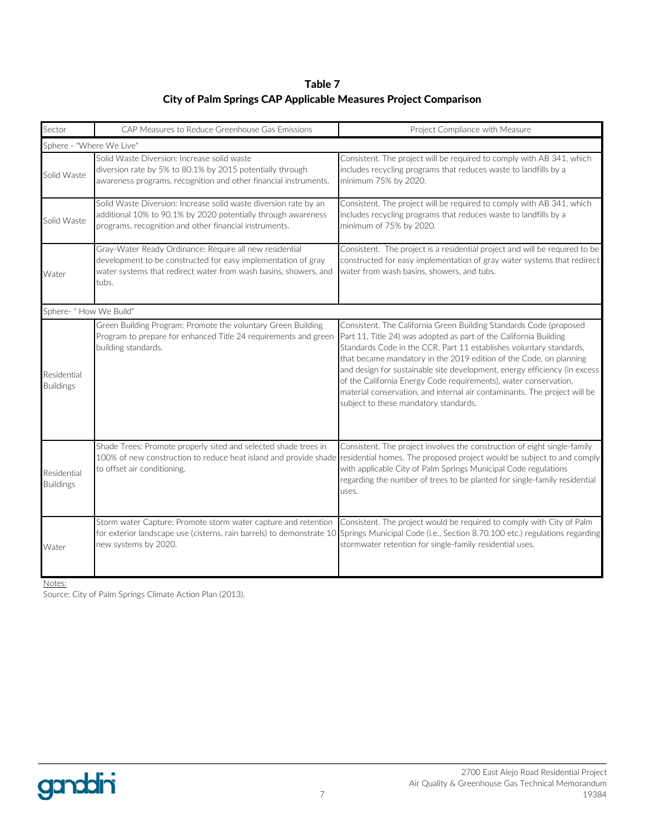Table 7 City of Palm Springs CAP Applicable Measures Project Comparison

| Sector                          | CAP Measures to Reduce Greenhouse Gas Emissions                                                                                                                                                       | Project Compliance with Measure                                                                                                                                                                                                                                                                                                                                                                                                                                                                                                                             |
|---------------------------------|-------------------------------------------------------------------------------------------------------------------------------------------------------------------------------------------------------|-------------------------------------------------------------------------------------------------------------------------------------------------------------------------------------------------------------------------------------------------------------------------------------------------------------------------------------------------------------------------------------------------------------------------------------------------------------------------------------------------------------------------------------------------------------|
| Sphere - "Where We Live"        |                                                                                                                                                                                                       |                                                                                                                                                                                                                                                                                                                                                                                                                                                                                                                                                             |
| Solid Waste                     | Solid Waste Diversion: Increase solid waste<br>diversion rate by 5% to 80.1% by 2015 potentially through<br>awareness programs, recognition and other financial instruments.                          | Consistent. The project will be required to comply with AB 341, which<br>includes recycling programs that reduces waste to landfills by a<br>minimum 75% by 2020.                                                                                                                                                                                                                                                                                                                                                                                           |
| Solid Waste                     | Solid Waste Diversion: Increase solid waste diversion rate by an<br>additional 10% to 90.1% by 2020 potentially through awareness<br>programs, recognition and other financial instruments.           | Consistent. The project will be required to comply with AB 341, which<br>includes recycling programs that reduces waste to landfills by a<br>minimum of 75% by 2020.                                                                                                                                                                                                                                                                                                                                                                                        |
| Water                           | Gray-Water Ready Ordinance: Require all new residential<br>development to be constructed for easy implementation of gray<br>water systems that redirect water from wash basins, showers, and<br>tubs. | Consistent. The project is a residential project and will be required to be<br>constructed for easy implementation of gray water systems that redirect<br>water from wash basins, showers, and tubs.                                                                                                                                                                                                                                                                                                                                                        |
| Sphere- " How We Build"         |                                                                                                                                                                                                       |                                                                                                                                                                                                                                                                                                                                                                                                                                                                                                                                                             |
| Residential<br><b>Buildings</b> | Green Building Program: Promote the voluntary Green Building<br>Program to prepare for enhanced Title 24 requirements and green<br>building standards.                                                | Consistent. The California Green Building Standards Code (proposed<br>Part 11, Title 24) was adopted as part of the California Building<br>Standards Code in the CCR. Part 11 establishes voluntary standards,<br>that became mandatory in the 2019 edition of the Code, on planning<br>and design for sustainable site development, energy efficiency (in excess<br>of the California Energy Code requirements), water conservation,<br>material conservation, and internal air contaminants. The project will be<br>subject to these mandatory standards. |
| Residential<br><b>Buildings</b> | Shade Trees: Promote properly sited and selected shade trees in<br>100% of new construction to reduce heat island and provide shade<br>to offset air conditioning.                                    | Consistent. The project involves the construction of eight single-family<br>residential homes. The proposed project would be subject to and comply<br>with applicable City of Palm Springs Municipal Code regulations<br>regarding the number of trees to be planted for single-family residential<br>uses.                                                                                                                                                                                                                                                 |
| Water                           | Storm water Capture: Promote storm water capture and retention<br>for exterior landscape use (cisterns, rain barrels) to demonstrate 10<br>new systems by 2020.                                       | Consistent. The project would be required to comply with City of Palm<br>Springs Municipal Code (i.e., Section 8.70.100 etc.) regulations regarding<br>stormwater retention for single-family residential uses.                                                                                                                                                                                                                                                                                                                                             |

Source: City of Palm Springs Climate Action Plan (2013).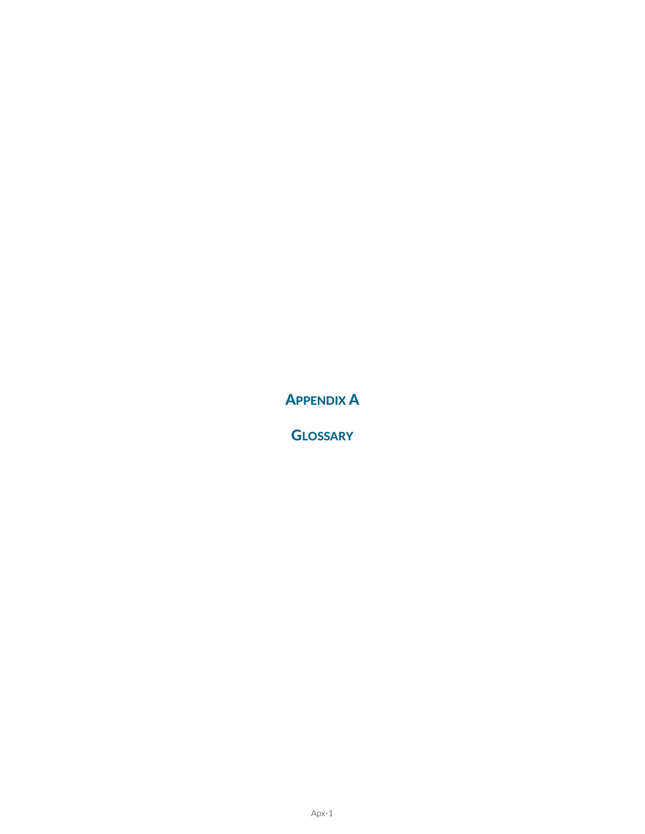APPENDIX A

**GLOSSARY**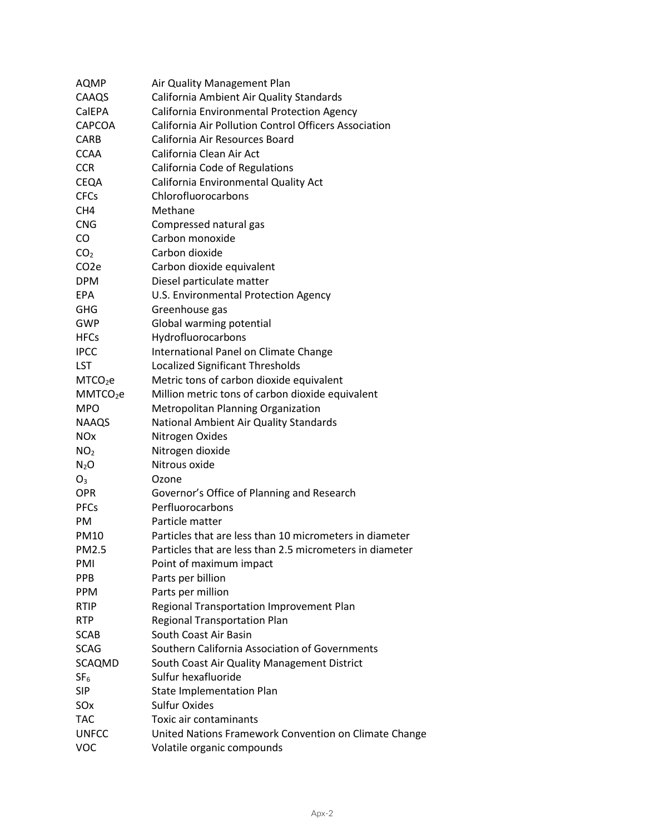| California Ambient Air Quality Standards<br>California Environmental Protection Agency<br>California Air Pollution Control Officers Association<br>California Air Resources Board<br>California Clean Air Act<br>California Code of Regulations<br>California Environmental Quality Act<br>Chlorofluorocarbons<br>Methane<br><b>CNG</b><br>Compressed natural gas<br>Carbon monoxide<br>CO<br>Carbon dioxide<br>CO <sub>2</sub><br>CO <sub>2</sub> e<br>Carbon dioxide equivalent<br><b>DPM</b><br>Diesel particulate matter<br><b>EPA</b><br>U.S. Environmental Protection Agency<br><b>GHG</b><br>Greenhouse gas<br>Global warming potential<br><b>GWP</b><br>Hydrofluorocarbons<br><b>HFCs</b><br>International Panel on Climate Change<br><b>IPCC</b><br><b>LST</b><br>Localized Significant Thresholds<br>Metric tons of carbon dioxide equivalent<br>MTCO <sub>2</sub> e<br>Million metric tons of carbon dioxide equivalent<br>MMTCO <sub>2</sub> e<br><b>MPO</b><br>Metropolitan Planning Organization<br><b>NAAQS</b><br><b>National Ambient Air Quality Standards</b><br><b>NO<sub>x</sub></b><br>Nitrogen Oxides<br>Nitrogen dioxide<br>NO <sub>2</sub><br>Nitrous oxide<br>N <sub>2</sub> O<br>O <sub>3</sub><br>Ozone<br><b>OPR</b><br>Governor's Office of Planning and Research<br>Perfluorocarbons<br><b>PFCs</b><br>Particle matter<br><b>PM</b><br><b>PM10</b><br>Particles that are less than 10 micrometers in diameter<br>Particles that are less than 2.5 micrometers in diameter<br>PMI<br>Point of maximum impact<br>Parts per billion<br>Parts per million<br>Regional Transportation Improvement Plan<br><b>Regional Transportation Plan</b><br>South Coast Air Basin<br>Southern California Association of Governments<br>South Coast Air Quality Management District<br>Sulfur hexafluoride<br><b>State Implementation Plan</b><br><b>Sulfur Oxides</b><br>Toxic air contaminants<br>United Nations Framework Convention on Climate Change | <b>AQMP</b>     | Air Quality Management Plan |
|------------------------------------------------------------------------------------------------------------------------------------------------------------------------------------------------------------------------------------------------------------------------------------------------------------------------------------------------------------------------------------------------------------------------------------------------------------------------------------------------------------------------------------------------------------------------------------------------------------------------------------------------------------------------------------------------------------------------------------------------------------------------------------------------------------------------------------------------------------------------------------------------------------------------------------------------------------------------------------------------------------------------------------------------------------------------------------------------------------------------------------------------------------------------------------------------------------------------------------------------------------------------------------------------------------------------------------------------------------------------------------------------------------------------------------------------------------------------------------------------------------------------------------------------------------------------------------------------------------------------------------------------------------------------------------------------------------------------------------------------------------------------------------------------------------------------------------------------------------------------------------------------------------------------------------------------------------------------|-----------------|-----------------------------|
|                                                                                                                                                                                                                                                                                                                                                                                                                                                                                                                                                                                                                                                                                                                                                                                                                                                                                                                                                                                                                                                                                                                                                                                                                                                                                                                                                                                                                                                                                                                                                                                                                                                                                                                                                                                                                                                                                                                                                                        | CAAQS           |                             |
|                                                                                                                                                                                                                                                                                                                                                                                                                                                                                                                                                                                                                                                                                                                                                                                                                                                                                                                                                                                                                                                                                                                                                                                                                                                                                                                                                                                                                                                                                                                                                                                                                                                                                                                                                                                                                                                                                                                                                                        | CalEPA          |                             |
|                                                                                                                                                                                                                                                                                                                                                                                                                                                                                                                                                                                                                                                                                                                                                                                                                                                                                                                                                                                                                                                                                                                                                                                                                                                                                                                                                                                                                                                                                                                                                                                                                                                                                                                                                                                                                                                                                                                                                                        | <b>CAPCOA</b>   |                             |
|                                                                                                                                                                                                                                                                                                                                                                                                                                                                                                                                                                                                                                                                                                                                                                                                                                                                                                                                                                                                                                                                                                                                                                                                                                                                                                                                                                                                                                                                                                                                                                                                                                                                                                                                                                                                                                                                                                                                                                        | <b>CARB</b>     |                             |
|                                                                                                                                                                                                                                                                                                                                                                                                                                                                                                                                                                                                                                                                                                                                                                                                                                                                                                                                                                                                                                                                                                                                                                                                                                                                                                                                                                                                                                                                                                                                                                                                                                                                                                                                                                                                                                                                                                                                                                        | <b>CCAA</b>     |                             |
|                                                                                                                                                                                                                                                                                                                                                                                                                                                                                                                                                                                                                                                                                                                                                                                                                                                                                                                                                                                                                                                                                                                                                                                                                                                                                                                                                                                                                                                                                                                                                                                                                                                                                                                                                                                                                                                                                                                                                                        | <b>CCR</b>      |                             |
|                                                                                                                                                                                                                                                                                                                                                                                                                                                                                                                                                                                                                                                                                                                                                                                                                                                                                                                                                                                                                                                                                                                                                                                                                                                                                                                                                                                                                                                                                                                                                                                                                                                                                                                                                                                                                                                                                                                                                                        | CEQA            |                             |
|                                                                                                                                                                                                                                                                                                                                                                                                                                                                                                                                                                                                                                                                                                                                                                                                                                                                                                                                                                                                                                                                                                                                                                                                                                                                                                                                                                                                                                                                                                                                                                                                                                                                                                                                                                                                                                                                                                                                                                        | <b>CFCs</b>     |                             |
|                                                                                                                                                                                                                                                                                                                                                                                                                                                                                                                                                                                                                                                                                                                                                                                                                                                                                                                                                                                                                                                                                                                                                                                                                                                                                                                                                                                                                                                                                                                                                                                                                                                                                                                                                                                                                                                                                                                                                                        | CH <sub>4</sub> |                             |
|                                                                                                                                                                                                                                                                                                                                                                                                                                                                                                                                                                                                                                                                                                                                                                                                                                                                                                                                                                                                                                                                                                                                                                                                                                                                                                                                                                                                                                                                                                                                                                                                                                                                                                                                                                                                                                                                                                                                                                        |                 |                             |
|                                                                                                                                                                                                                                                                                                                                                                                                                                                                                                                                                                                                                                                                                                                                                                                                                                                                                                                                                                                                                                                                                                                                                                                                                                                                                                                                                                                                                                                                                                                                                                                                                                                                                                                                                                                                                                                                                                                                                                        |                 |                             |
|                                                                                                                                                                                                                                                                                                                                                                                                                                                                                                                                                                                                                                                                                                                                                                                                                                                                                                                                                                                                                                                                                                                                                                                                                                                                                                                                                                                                                                                                                                                                                                                                                                                                                                                                                                                                                                                                                                                                                                        |                 |                             |
|                                                                                                                                                                                                                                                                                                                                                                                                                                                                                                                                                                                                                                                                                                                                                                                                                                                                                                                                                                                                                                                                                                                                                                                                                                                                                                                                                                                                                                                                                                                                                                                                                                                                                                                                                                                                                                                                                                                                                                        |                 |                             |
|                                                                                                                                                                                                                                                                                                                                                                                                                                                                                                                                                                                                                                                                                                                                                                                                                                                                                                                                                                                                                                                                                                                                                                                                                                                                                                                                                                                                                                                                                                                                                                                                                                                                                                                                                                                                                                                                                                                                                                        |                 |                             |
|                                                                                                                                                                                                                                                                                                                                                                                                                                                                                                                                                                                                                                                                                                                                                                                                                                                                                                                                                                                                                                                                                                                                                                                                                                                                                                                                                                                                                                                                                                                                                                                                                                                                                                                                                                                                                                                                                                                                                                        |                 |                             |
|                                                                                                                                                                                                                                                                                                                                                                                                                                                                                                                                                                                                                                                                                                                                                                                                                                                                                                                                                                                                                                                                                                                                                                                                                                                                                                                                                                                                                                                                                                                                                                                                                                                                                                                                                                                                                                                                                                                                                                        |                 |                             |
|                                                                                                                                                                                                                                                                                                                                                                                                                                                                                                                                                                                                                                                                                                                                                                                                                                                                                                                                                                                                                                                                                                                                                                                                                                                                                                                                                                                                                                                                                                                                                                                                                                                                                                                                                                                                                                                                                                                                                                        |                 |                             |
|                                                                                                                                                                                                                                                                                                                                                                                                                                                                                                                                                                                                                                                                                                                                                                                                                                                                                                                                                                                                                                                                                                                                                                                                                                                                                                                                                                                                                                                                                                                                                                                                                                                                                                                                                                                                                                                                                                                                                                        |                 |                             |
|                                                                                                                                                                                                                                                                                                                                                                                                                                                                                                                                                                                                                                                                                                                                                                                                                                                                                                                                                                                                                                                                                                                                                                                                                                                                                                                                                                                                                                                                                                                                                                                                                                                                                                                                                                                                                                                                                                                                                                        |                 |                             |
|                                                                                                                                                                                                                                                                                                                                                                                                                                                                                                                                                                                                                                                                                                                                                                                                                                                                                                                                                                                                                                                                                                                                                                                                                                                                                                                                                                                                                                                                                                                                                                                                                                                                                                                                                                                                                                                                                                                                                                        |                 |                             |
|                                                                                                                                                                                                                                                                                                                                                                                                                                                                                                                                                                                                                                                                                                                                                                                                                                                                                                                                                                                                                                                                                                                                                                                                                                                                                                                                                                                                                                                                                                                                                                                                                                                                                                                                                                                                                                                                                                                                                                        |                 |                             |
|                                                                                                                                                                                                                                                                                                                                                                                                                                                                                                                                                                                                                                                                                                                                                                                                                                                                                                                                                                                                                                                                                                                                                                                                                                                                                                                                                                                                                                                                                                                                                                                                                                                                                                                                                                                                                                                                                                                                                                        |                 |                             |
|                                                                                                                                                                                                                                                                                                                                                                                                                                                                                                                                                                                                                                                                                                                                                                                                                                                                                                                                                                                                                                                                                                                                                                                                                                                                                                                                                                                                                                                                                                                                                                                                                                                                                                                                                                                                                                                                                                                                                                        |                 |                             |
|                                                                                                                                                                                                                                                                                                                                                                                                                                                                                                                                                                                                                                                                                                                                                                                                                                                                                                                                                                                                                                                                                                                                                                                                                                                                                                                                                                                                                                                                                                                                                                                                                                                                                                                                                                                                                                                                                                                                                                        |                 |                             |
|                                                                                                                                                                                                                                                                                                                                                                                                                                                                                                                                                                                                                                                                                                                                                                                                                                                                                                                                                                                                                                                                                                                                                                                                                                                                                                                                                                                                                                                                                                                                                                                                                                                                                                                                                                                                                                                                                                                                                                        |                 |                             |
|                                                                                                                                                                                                                                                                                                                                                                                                                                                                                                                                                                                                                                                                                                                                                                                                                                                                                                                                                                                                                                                                                                                                                                                                                                                                                                                                                                                                                                                                                                                                                                                                                                                                                                                                                                                                                                                                                                                                                                        |                 |                             |
|                                                                                                                                                                                                                                                                                                                                                                                                                                                                                                                                                                                                                                                                                                                                                                                                                                                                                                                                                                                                                                                                                                                                                                                                                                                                                                                                                                                                                                                                                                                                                                                                                                                                                                                                                                                                                                                                                                                                                                        |                 |                             |
|                                                                                                                                                                                                                                                                                                                                                                                                                                                                                                                                                                                                                                                                                                                                                                                                                                                                                                                                                                                                                                                                                                                                                                                                                                                                                                                                                                                                                                                                                                                                                                                                                                                                                                                                                                                                                                                                                                                                                                        |                 |                             |
|                                                                                                                                                                                                                                                                                                                                                                                                                                                                                                                                                                                                                                                                                                                                                                                                                                                                                                                                                                                                                                                                                                                                                                                                                                                                                                                                                                                                                                                                                                                                                                                                                                                                                                                                                                                                                                                                                                                                                                        |                 |                             |
|                                                                                                                                                                                                                                                                                                                                                                                                                                                                                                                                                                                                                                                                                                                                                                                                                                                                                                                                                                                                                                                                                                                                                                                                                                                                                                                                                                                                                                                                                                                                                                                                                                                                                                                                                                                                                                                                                                                                                                        |                 |                             |
|                                                                                                                                                                                                                                                                                                                                                                                                                                                                                                                                                                                                                                                                                                                                                                                                                                                                                                                                                                                                                                                                                                                                                                                                                                                                                                                                                                                                                                                                                                                                                                                                                                                                                                                                                                                                                                                                                                                                                                        |                 |                             |
|                                                                                                                                                                                                                                                                                                                                                                                                                                                                                                                                                                                                                                                                                                                                                                                                                                                                                                                                                                                                                                                                                                                                                                                                                                                                                                                                                                                                                                                                                                                                                                                                                                                                                                                                                                                                                                                                                                                                                                        |                 |                             |
|                                                                                                                                                                                                                                                                                                                                                                                                                                                                                                                                                                                                                                                                                                                                                                                                                                                                                                                                                                                                                                                                                                                                                                                                                                                                                                                                                                                                                                                                                                                                                                                                                                                                                                                                                                                                                                                                                                                                                                        |                 |                             |
|                                                                                                                                                                                                                                                                                                                                                                                                                                                                                                                                                                                                                                                                                                                                                                                                                                                                                                                                                                                                                                                                                                                                                                                                                                                                                                                                                                                                                                                                                                                                                                                                                                                                                                                                                                                                                                                                                                                                                                        | PM2.5           |                             |
|                                                                                                                                                                                                                                                                                                                                                                                                                                                                                                                                                                                                                                                                                                                                                                                                                                                                                                                                                                                                                                                                                                                                                                                                                                                                                                                                                                                                                                                                                                                                                                                                                                                                                                                                                                                                                                                                                                                                                                        |                 |                             |
|                                                                                                                                                                                                                                                                                                                                                                                                                                                                                                                                                                                                                                                                                                                                                                                                                                                                                                                                                                                                                                                                                                                                                                                                                                                                                                                                                                                                                                                                                                                                                                                                                                                                                                                                                                                                                                                                                                                                                                        | <b>PPB</b>      |                             |
|                                                                                                                                                                                                                                                                                                                                                                                                                                                                                                                                                                                                                                                                                                                                                                                                                                                                                                                                                                                                                                                                                                                                                                                                                                                                                                                                                                                                                                                                                                                                                                                                                                                                                                                                                                                                                                                                                                                                                                        | <b>PPM</b>      |                             |
|                                                                                                                                                                                                                                                                                                                                                                                                                                                                                                                                                                                                                                                                                                                                                                                                                                                                                                                                                                                                                                                                                                                                                                                                                                                                                                                                                                                                                                                                                                                                                                                                                                                                                                                                                                                                                                                                                                                                                                        | <b>RTIP</b>     |                             |
|                                                                                                                                                                                                                                                                                                                                                                                                                                                                                                                                                                                                                                                                                                                                                                                                                                                                                                                                                                                                                                                                                                                                                                                                                                                                                                                                                                                                                                                                                                                                                                                                                                                                                                                                                                                                                                                                                                                                                                        | <b>RTP</b>      |                             |
|                                                                                                                                                                                                                                                                                                                                                                                                                                                                                                                                                                                                                                                                                                                                                                                                                                                                                                                                                                                                                                                                                                                                                                                                                                                                                                                                                                                                                                                                                                                                                                                                                                                                                                                                                                                                                                                                                                                                                                        | <b>SCAB</b>     |                             |
|                                                                                                                                                                                                                                                                                                                                                                                                                                                                                                                                                                                                                                                                                                                                                                                                                                                                                                                                                                                                                                                                                                                                                                                                                                                                                                                                                                                                                                                                                                                                                                                                                                                                                                                                                                                                                                                                                                                                                                        | <b>SCAG</b>     |                             |
|                                                                                                                                                                                                                                                                                                                                                                                                                                                                                                                                                                                                                                                                                                                                                                                                                                                                                                                                                                                                                                                                                                                                                                                                                                                                                                                                                                                                                                                                                                                                                                                                                                                                                                                                                                                                                                                                                                                                                                        | SCAQMD          |                             |
|                                                                                                                                                                                                                                                                                                                                                                                                                                                                                                                                                                                                                                                                                                                                                                                                                                                                                                                                                                                                                                                                                                                                                                                                                                                                                                                                                                                                                                                                                                                                                                                                                                                                                                                                                                                                                                                                                                                                                                        | SF <sub>6</sub> |                             |
|                                                                                                                                                                                                                                                                                                                                                                                                                                                                                                                                                                                                                                                                                                                                                                                                                                                                                                                                                                                                                                                                                                                                                                                                                                                                                                                                                                                                                                                                                                                                                                                                                                                                                                                                                                                                                                                                                                                                                                        | <b>SIP</b>      |                             |
|                                                                                                                                                                                                                                                                                                                                                                                                                                                                                                                                                                                                                                                                                                                                                                                                                                                                                                                                                                                                                                                                                                                                                                                                                                                                                                                                                                                                                                                                                                                                                                                                                                                                                                                                                                                                                                                                                                                                                                        | SOx             |                             |
|                                                                                                                                                                                                                                                                                                                                                                                                                                                                                                                                                                                                                                                                                                                                                                                                                                                                                                                                                                                                                                                                                                                                                                                                                                                                                                                                                                                                                                                                                                                                                                                                                                                                                                                                                                                                                                                                                                                                                                        | <b>TAC</b>      |                             |
|                                                                                                                                                                                                                                                                                                                                                                                                                                                                                                                                                                                                                                                                                                                                                                                                                                                                                                                                                                                                                                                                                                                                                                                                                                                                                                                                                                                                                                                                                                                                                                                                                                                                                                                                                                                                                                                                                                                                                                        | <b>UNFCC</b>    |                             |
|                                                                                                                                                                                                                                                                                                                                                                                                                                                                                                                                                                                                                                                                                                                                                                                                                                                                                                                                                                                                                                                                                                                                                                                                                                                                                                                                                                                                                                                                                                                                                                                                                                                                                                                                                                                                                                                                                                                                                                        | <b>VOC</b>      | Volatile organic compounds  |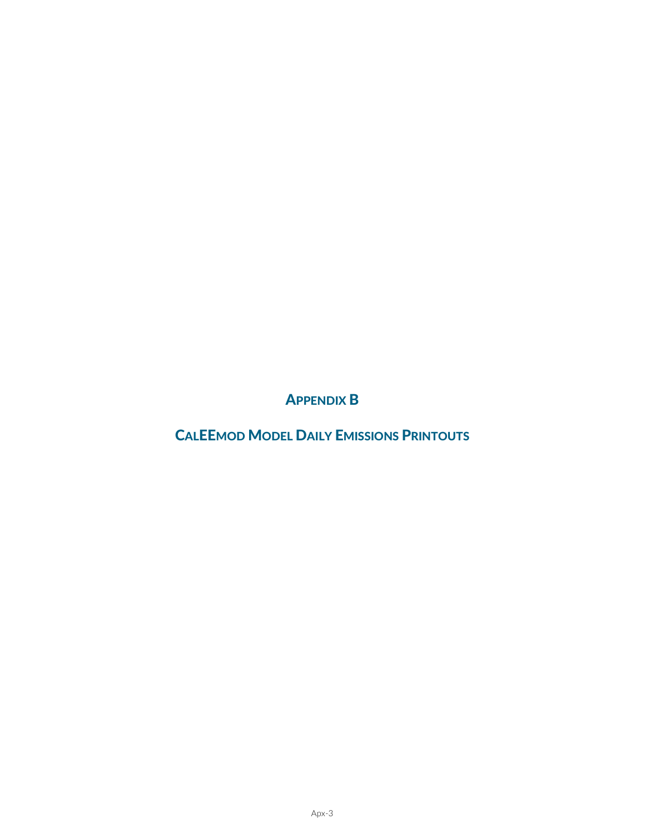APPENDIX B

CALEEMOD MODEL DAILY EMISSIONS PRINTOUTS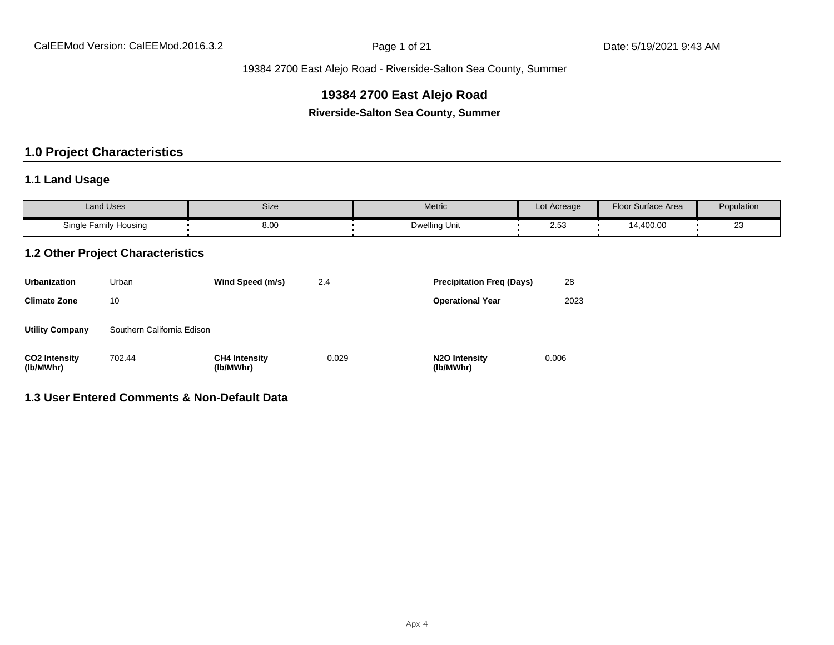## **19384 2700 East Alejo Road**

**Riverside-Salton Sea County, Summer**

# **1.0 Project Characteristics**

## **1.1 Land Usage**

| <b>Land Uses</b>      | Size | <b>Metric</b> | Lot Acreage | <b>Floor Surface Area</b> | Population |  |
|-----------------------|------|---------------|-------------|---------------------------|------------|--|
| Single Family Housing | 8.00 | Dwelling Unit | 2.53        | 14,400.00                 |            |  |

## **1.2 Other Project Characteristics**

| <b>Urbanization</b>               | Urban                      | Wind Speed (m/s)                  | 2.4   | <b>Precipitation Freg (Days)</b>        | 28    |
|-----------------------------------|----------------------------|-----------------------------------|-------|-----------------------------------------|-------|
| <b>Climate Zone</b>               | 10                         |                                   |       | <b>Operational Year</b>                 | 2023  |
| <b>Utility Company</b>            | Southern California Edison |                                   |       |                                         |       |
| <b>CO2 Intensity</b><br>(lb/MWhr) | 702.44                     | <b>CH4 Intensity</b><br>(lb/MWhr) | 0.029 | N <sub>2</sub> O Intensity<br>(lb/MWhr) | 0.006 |

## **1.3 User Entered Comments & Non-Default Data**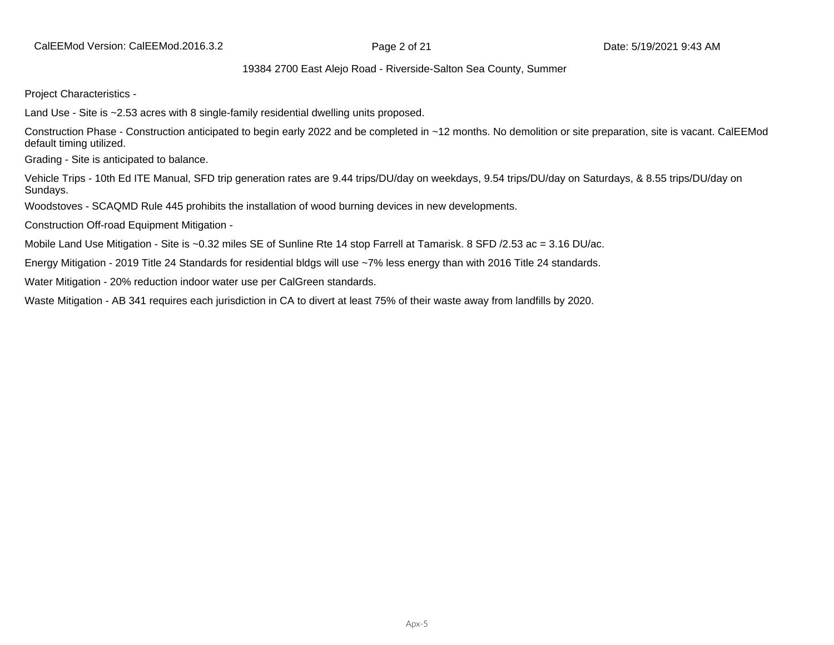CalEEMod Version: CalEEMod.2016.3.2 **Page 2 of 21** Page 2 of 21 Date: 5/19/2021 9:43 AM

19384 2700 East Alejo Road - Riverside-Salton Sea County, Summer

Project Characteristics -

Land Use - Site is ~2.53 acres with 8 single-family residential dwelling units proposed.

Construction Phase - Construction anticipated to begin early 2022 and be completed in ~12 months. No demolition or site preparation, site is vacant. CalEEMod default timing utilized.

Grading - Site is anticipated to balance.

Vehicle Trips - 10th Ed ITE Manual, SFD trip generation rates are 9.44 trips/DU/day on weekdays, 9.54 trips/DU/day on Saturdays, & 8.55 trips/DU/day on Sundays.

Woodstoves - SCAQMD Rule 445 prohibits the installation of wood burning devices in new developments.

Construction Off-road Equipment Mitigation -

Mobile Land Use Mitigation - Site is ~0.32 miles SE of Sunline Rte 14 stop Farrell at Tamarisk. 8 SFD /2.53 ac = 3.16 DU/ac.

Energy Mitigation - 2019 Title 24 Standards for residential bldgs will use ~7% less energy than with 2016 Title 24 standards.

Water Mitigation - 20% reduction indoor water use per CalGreen standards.

Waste Mitigation - AB 341 requires each jurisdiction in CA to divert at least 75% of their waste away from landfills by 2020.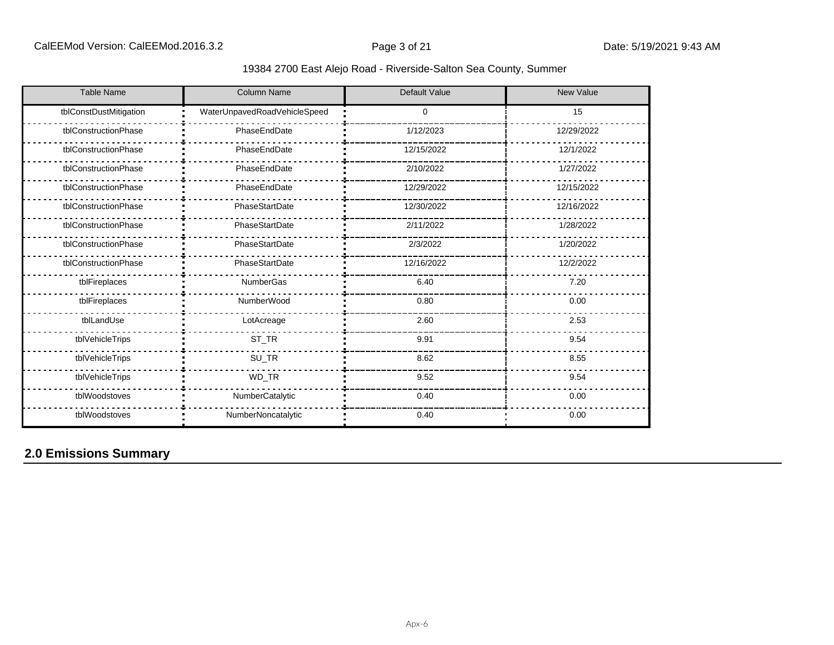| <b>Table Name</b>      | <b>Column Name</b>           | Default Value | <b>New Value</b> |
|------------------------|------------------------------|---------------|------------------|
| tblConstDustMitigation | WaterUnpavedRoadVehicleSpeed | $\Omega$      | 15               |
| tblConstructionPhase   | PhaseEndDate                 | 1/12/2023     | 12/29/2022       |
| tblConstructionPhase   | PhaseEndDate                 | 12/15/2022    | 12/1/2022        |
| tblConstructionPhase   | PhaseEndDate                 | 2/10/2022     | 1/27/2022        |
| tblConstructionPhase   | PhaseEndDate                 | 12/29/2022    | 12/15/2022       |
| tblConstructionPhase   | PhaseStartDate               | 12/30/2022    | 12/16/2022       |
| tblConstructionPhase   | PhaseStartDate               | 2/11/2022     | 1/28/2022        |
| tblConstructionPhase   | PhaseStartDate               | 2/3/2022      | 1/20/2022        |
| tblConstructionPhase   | PhaseStartDate               | 12/16/2022    | 12/2/2022        |
| tblFireplaces          | <b>NumberGas</b>             | 6.40          | 7.20             |
| tblFireplaces          | <b>NumberWood</b>            | 0.80          | 0.00             |
| tblLandUse             | LotAcreage                   | 2.60          | 2.53             |
| tblVehicleTrips        | $ST_TR$                      | 9.91          | 9.54             |
| tblVehicleTrips        | $SU_TR$                      | 8.62          | 8.55             |
| tblVehicleTrips        | WD_TR                        | 9.52          | 9.54             |
| tblWoodstoves          | NumberCatalytic              | 0.40          | 0.00             |
| tblWoodstoves          | NumberNoncatalytic           | 0.40          | 0.00             |

# **2.0 Emissions Summary**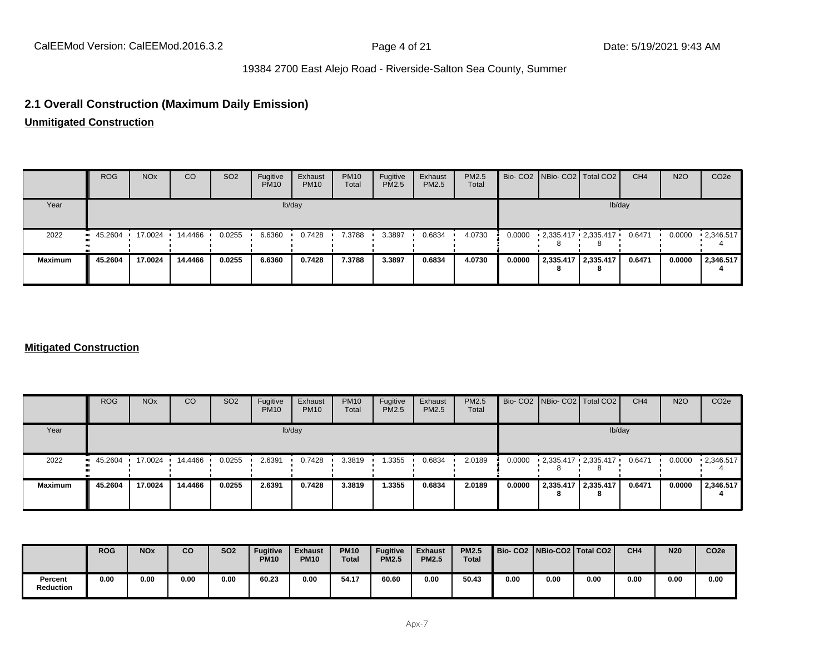## **2.1 Overall Construction (Maximum Daily Emission)**

**Unmitigated Construction**

|                | <b>ROG</b>             | <b>NO<sub>x</sub></b> | CO.     | SO <sub>2</sub> | Fugitive<br><b>PM10</b> | Exhaust<br><b>PM10</b> | <b>PM10</b><br>Total | Fugitive<br>PM2.5 | Exhaust<br>PM2.5 | <b>PM2.5</b><br>Total |        | Bio- CO2   NBio- CO2   Total CO2 | CH <sub>4</sub> | <b>N2O</b> | CO <sub>2</sub> e |
|----------------|------------------------|-----------------------|---------|-----------------|-------------------------|------------------------|----------------------|-------------------|------------------|-----------------------|--------|----------------------------------|-----------------|------------|-------------------|
| Year           | lb/day                 |                       |         |                 |                         |                        |                      | lb/day            |                  |                       |        |                                  |                 |            |                   |
| 2022           | $\blacksquare$ 45.2604 | 17.0024               | 14.4466 | 0.0255          | 6.6360                  | 0.7428                 | 7.3788               | 3.3897            | 0.6834           | 4.0730                | 0.0000 | $-2,335.417 - 2,335.417$         | 0.6471          | 0.0000     | $\cdot 2.346.517$ |
| <b>Maximum</b> | 45.2604                | 17.0024               | 14.4466 | 0.0255          | 6.6360                  | 0.7428                 | 7.3788               | 3.3897            | 0.6834           | 4.0730                | 0.0000 | $2,335.417$ 2.335.417            | 0.6471          | 0.0000     | 2,346.517         |

#### **Mitigated Construction**

|                | <b>ROG</b>      | <b>NO<sub>x</sub></b> | CO      | SO <sub>2</sub> | Fugitive<br><b>PM10</b> | Exhaust<br><b>PM10</b> | <b>PM10</b><br>Total | Fugitive<br><b>PM2.5</b> | Exhaust<br>PM2.5 | PM2.5<br>Total |        | Bio- CO2   NBio- CO2   Total CO2 | CH <sub>4</sub> | <b>N2O</b> | CO <sub>2e</sub>  |
|----------------|-----------------|-----------------------|---------|-----------------|-------------------------|------------------------|----------------------|--------------------------|------------------|----------------|--------|----------------------------------|-----------------|------------|-------------------|
| Year           |                 |                       |         |                 |                         | lb/day                 |                      |                          |                  |                |        | lb/day                           |                 |            |                   |
| 2022           | $\cdot$ 45.2604 | 17.0024               | 14.4466 | 0.0255          | 2.6391                  | 0.7428                 | 3.3819               | 1.3355                   | 0.6834           | 2.0189         | 0.0000 | $-2,335.417 - 2,335.417$         | 0.6471          | 0.0000     | $\cdot$ 2,346.517 |
| <b>Maximum</b> | 45.2604         | 17.0024               | 14.4466 | 0.0255          | 2.6391                  | 0.7428                 | 3.3819               | 1.3355                   | 0.6834           | 2.0189         | 0.0000 | 2,335.417 2,335.417 <br>8        | 0.6471          | 0.0000     | 2,346.517         |

|                      | <b>ROG</b> | <b>NOx</b> | CO   | <b>SO2</b> | <b>Fugitive</b><br><b>PM10</b> | <b>Exhaust</b><br><b>PM10</b> | <b>PM10</b><br>Total | <b>Fugitive</b><br><b>PM2.5</b> | <b>Exhaust</b><br><b>PM2.5</b> | <b>PM2.5</b><br><b>Total</b> | Bio-CO2 NBio-CO2 Total CO2 |      |      | CH <sub>4</sub> | <b>N20</b> | CO <sub>2e</sub> |
|----------------------|------------|------------|------|------------|--------------------------------|-------------------------------|----------------------|---------------------------------|--------------------------------|------------------------------|----------------------------|------|------|-----------------|------------|------------------|
| Percent<br>Reduction | 0.00       | 0.00       | 0.00 | 0.00       | 60.23                          | 0.00                          | 54.17                | 60.60                           | 0.00                           | 50.43                        | 0.00                       | 0.00 | 0.00 | 0.00            | 0.00       | 0.00             |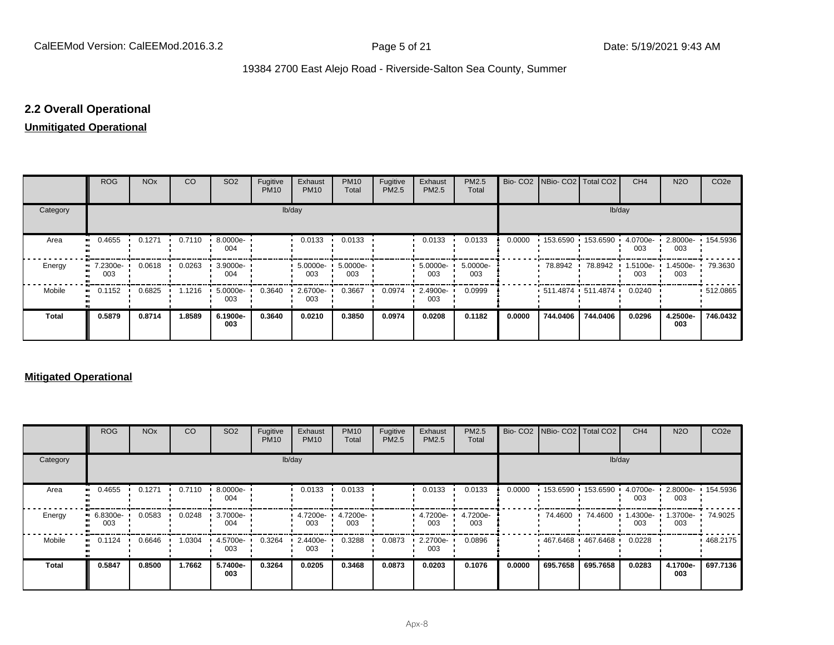# **2.2 Overall Operational**

#### **Unmitigated Operational**

|          | ROG                            | <b>NO<sub>x</sub></b> | CO     | SO <sub>2</sub> | Fugitive<br><b>PM10</b> | Exhaust<br><b>PM10</b> | <b>PM10</b><br>Total | Fugitive<br>PM2.5 | Exhaust<br>PM2.5 | PM2.5<br>Total  |        | Bio- CO2   NBio- CO2   Total CO2  |          | CH <sub>4</sub> | <b>N2O</b>      | CO <sub>2e</sub> |
|----------|--------------------------------|-----------------------|--------|-----------------|-------------------------|------------------------|----------------------|-------------------|------------------|-----------------|--------|-----------------------------------|----------|-----------------|-----------------|------------------|
| Category |                                |                       |        |                 | lb/day                  |                        |                      |                   |                  |                 |        |                                   | lb/day   |                 |                 |                  |
| Area     | 0.4655<br>                     | 0.1271                | 0.7110 | 8.0000e-<br>004 |                         | 0.0133                 | 0.0133               |                   | 0.0133           | 0.0133          | 0.0000 | 153.6590 153.6590                 |          | 4.0700e-<br>003 | 2.8000e-<br>003 | $+154.5936$      |
| Energy   | $\blacksquare$ 7.2300e-<br>003 | 0.0618                | 0.0263 | 3.9000e-<br>004 |                         | $5.0000e -$<br>003     | 5.0000e-<br>003      |                   | 5.0000e-<br>003  | 5.0000e-<br>003 |        | 78.8942                           | 78.8942  | 1.5100e-<br>003 | 1.4500e-<br>003 | 79.3630          |
| Mobile   | 0.1152<br>                     | 0.6825                | 1.1216 | 5.0000e-<br>003 | 0.3640                  | 2.6700e-<br>003        | 0.3667               | 0.0974            | 2.4900e-<br>003  | 0.0999          |        | $\cdot$ 511.4874 $\cdot$ 511.4874 |          | 0.0240          |                 | $-512.0865$      |
| Total    | 0.5879                         | 0.8714                | 1.8589 | 6.1900e-<br>003 | 0.3640                  | 0.0210                 | 0.3850               | 0.0974            | 0.0208           | 0.1182          | 0.0000 | 744.0406                          | 744.0406 | 0.0296          | 4.2500e-<br>003 | 746.0432         |

#### **Mitigated Operational**

|          | <b>ROG</b>        | <b>NO<sub>x</sub></b> | CO     | SO <sub>2</sub>  | Fugitive<br><b>PM10</b> | Exhaust<br><b>PM10</b> | <b>PM10</b><br>Total | Fugitive<br>PM2.5 | Exhaust<br><b>PM2.5</b> | PM2.5<br>Total  |        | Bio- CO2 NBio- CO2 Total CO2 |                         | CH <sub>4</sub> | <b>N2O</b>      | CO <sub>2e</sub> |
|----------|-------------------|-----------------------|--------|------------------|-------------------------|------------------------|----------------------|-------------------|-------------------------|-----------------|--------|------------------------------|-------------------------|-----------------|-----------------|------------------|
| Category |                   |                       |        |                  |                         | lb/day                 |                      |                   |                         |                 |        |                              | lb/day                  |                 |                 |                  |
| Area     | 0.4655            | 0.1271                | 0.7110 | 8.0000e ·<br>004 |                         | 0.0133                 | 0.0133               |                   | 0.0133                  | 0.0133          | 0.0000 |                              | 153.6590 153.6590       | 4.0700e-<br>003 | 2.8000e-<br>003 | 154.5936         |
| Energy   | ■ 6.8300e-<br>003 | 0.0583                | 0.0248 | 3.7000e-<br>004  |                         | 4.7200e-<br>003        | 4.7200e-<br>003      |                   | 4.7200e-<br>003         | 4.7200e-<br>003 |        | 74.4600                      | 74.4600                 | 1.4300e-<br>003 | .3700e-<br>003  | 74.9025          |
| Mobile   | 0.1124            | 0.6646                | 1.0304 | 4.5700e ·<br>003 | 0.3264                  | 2.4400e-<br>003        | 0.3288               | 0.0873            | 2.2700e-<br>003         | 0.0896          |        |                              | • 467.6468 • 467.6468 • | 0.0228          |                 | 468.2175         |
| Total    | 0.5847            | 0.8500                | 1.7662 | 5.7400e-<br>003  | 0.3264                  | 0.0205                 | 0.3468               | 0.0873            | 0.0203                  | 0.1076          | 0.0000 | 695.7658                     | 695.7658                | 0.0283          | 4.1700e-<br>003 | 697.7136         |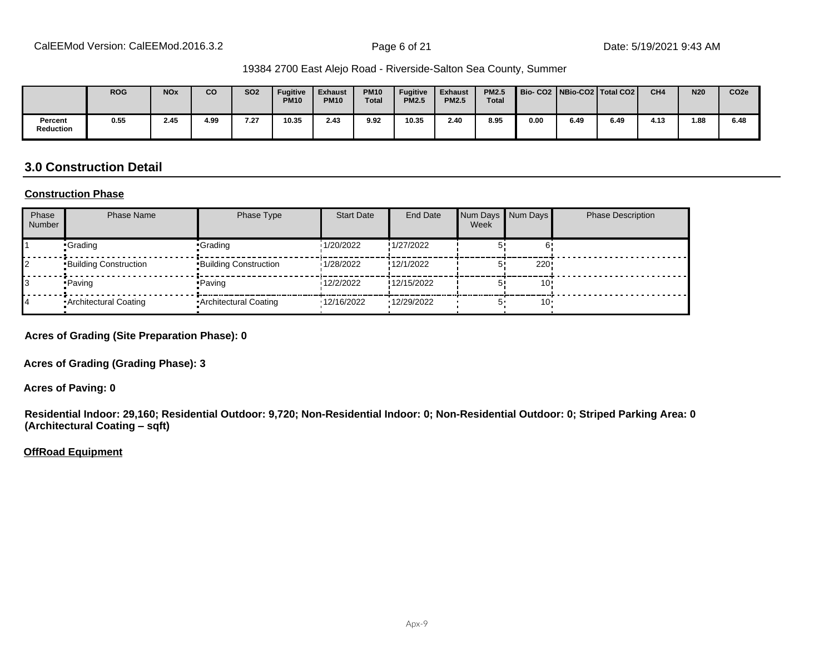|                      | <b>ROG</b> | <b>NO<sub>x</sub></b> | <b>CO</b> | <b>SO2</b> | <b>Fugitive</b><br><b>PM10</b> | <b>Exhaust</b><br><b>PM10</b> | <b>PM10</b><br><b>Total</b> | <b>Fugitive</b><br><b>PM2.5</b> | <b>Exhaust</b><br><b>PM2.5</b> | <b>PM2.5</b><br><b>Total</b> |      |      | Bio-CO2   NBio-CO2   Total CO2 | CH <sub>4</sub> | <b>N20</b> | CO <sub>2e</sub> |
|----------------------|------------|-----------------------|-----------|------------|--------------------------------|-------------------------------|-----------------------------|---------------------------------|--------------------------------|------------------------------|------|------|--------------------------------|-----------------|------------|------------------|
| Percent<br>Reduction | 0.55       | 2.45                  | 4.99      | 7.27       | 10.35                          | 2.43                          | 9.92                        | 10.35                           | 2.40                           | 8.95                         | 0.00 | 6.49 | 6.49                           | 4.13            | 1.88       | 6.48             |

# **3.0 Construction Detail**

#### **Construction Phase**

| Phase<br><b>Number</b> | <b>Phase Name</b>            | Phase Type                   | <b>Start Date</b> | <b>End Date</b> | Week | Num Days Num Days | <b>Phase Description</b> |
|------------------------|------------------------------|------------------------------|-------------------|-----------------|------|-------------------|--------------------------|
|                        | •Grading                     | •Grading                     | 1/20/2022         | !1/27/2022      |      |                   |                          |
|                        | <b>Building Construction</b> | <b>Building Construction</b> | 1/28/2022         | !12/1/2022      |      | 220               |                          |
|                        | • Paving                     | • Paving                     | 12/2/2022         | !12/15/2022     |      | 10                |                          |
|                        | • Architectural Coating      | Architectural Coating        | '12/16/2022       | '12/29/2022     |      | 10                |                          |

**Acres of Grading (Site Preparation Phase): 0**

**Acres of Grading (Grading Phase): 3**

**Acres of Paving: 0**

**Residential Indoor: 29,160; Residential Outdoor: 9,720; Non-Residential Indoor: 0; Non-Residential Outdoor: 0; Striped Parking Area: 0 (Architectural Coating ±sqft)**

#### **OffRoad Equipment**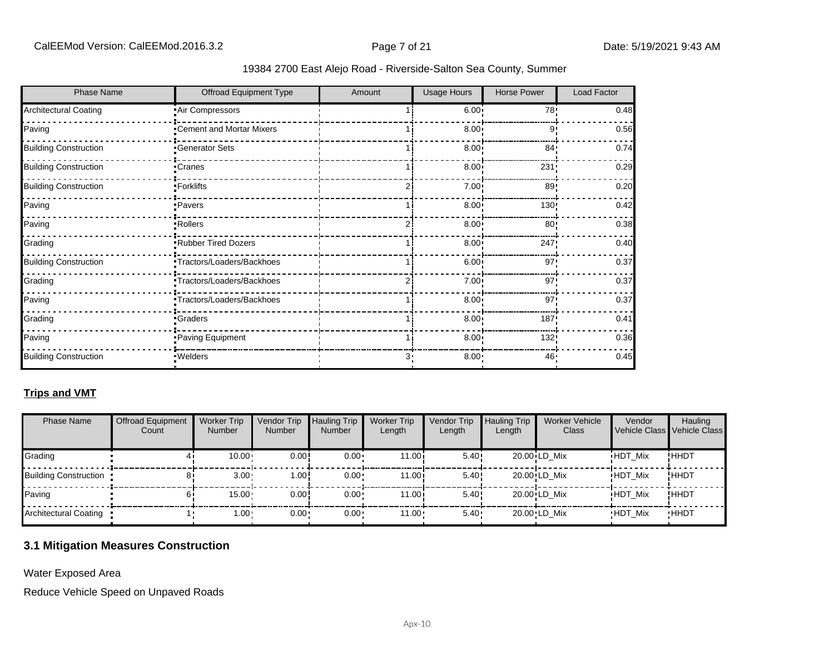| <b>Phase Name</b>            | <b>Offroad Equipment Type</b> | Amount | Usage Hours       | <b>Horse Power</b> | Load Factor |
|------------------------------|-------------------------------|--------|-------------------|--------------------|-------------|
| <b>Architectural Coating</b> | Air Compressors               |        | $6.00$ !          | 78!                | 0.48        |
| Paving                       | Cement and Mortar Mixers      |        | 8.00              | 9'                 | 0.56        |
| <b>Building Construction</b> | -Generator Sets               |        | 8.00 <sub>1</sub> | 84!                | 0.74        |
| <b>Building Construction</b> | -Cranes                       |        | 8.00 <sub>1</sub> | 231!               | 0.29        |
| <b>Building Construction</b> | -Forklifts                    |        | 7.00 <sub>1</sub> | 89                 | 0.20        |
| Paving                       | <b>Pavers</b>                 |        | 8.00 <sub>1</sub> | 130!               | 0.42        |
| Paving                       | <b>Rollers</b>                |        | 8.00              | 80!                | 0.38        |
| Grading                      | Rubber Tired Dozers           |        | 8.00 <sub>1</sub> | 247!               | 0.40        |
| <b>Building Construction</b> | Tractors/Loaders/Backhoes     |        | 6.00              | 97:                | 0.37        |
| Grading                      | Tractors/Loaders/Backhoes     |        | 7.00 <sub>1</sub> | 97!                | 0.37        |
| Paving                       | Tractors/Loaders/Backhoes     |        | 8.00              | 97'                | 0.37        |
| Grading                      | <b>Craders</b>                |        | 8.00 <sub>1</sub> | 187!               | 0.41        |
| Paving                       | Paving Equipment              |        | 8.00 <sub>1</sub> | 132!               | 0.36        |
| <b>Building Construction</b> | .Welders                      | $3 -$  | 8.00:             | 46'                | 0.45        |

## **Trips and VMT**

| <b>Phase Name</b>            | <b>Offroad Equipment</b><br>Count | <b>Worker Trip</b><br><b>Number</b> | Vendor Trip<br><b>Number</b> | <b>Hauling Trip</b><br><b>Number</b> | <b>Worker Trip</b><br>Length | Vendor Trip<br>Length | <b>Hauling Trip</b><br>Length | <b>Worker Vehicle</b><br>Class | Vendor<br>Vehicle Class Vehicle Class | Hauling     |
|------------------------------|-----------------------------------|-------------------------------------|------------------------------|--------------------------------------|------------------------------|-----------------------|-------------------------------|--------------------------------|---------------------------------------|-------------|
| Grading                      |                                   | 10.00                               | 0.00!                        | $0.00 \cdot$                         | 11.00i                       | 5.40!                 |                               | $20.00$ <sup>i</sup> LD Mix    | <b>HDT Mix</b>                        | !HHDT       |
| <b>Building Construction</b> |                                   | 3.00                                | 1.00!                        | $0.00 \cdot$                         | 11.00i                       | 5.40!                 |                               | $20.00$ <sup>i</sup> LD Mix    | <b>HDT Mix</b>                        | !HHDT       |
| Paving                       |                                   | 15.00                               | 0.00!                        | $0.00 \cdot$                         | 11.00i                       | 5.40!                 |                               | 20.00 LD Mix                   | <b>HDT Mix</b>                        | !HHDT       |
| Architectural Coating        |                                   | $.00 \cdot$                         | $0.00 -$                     | $0.00 \cdot$                         | $11.00 \cdot$                | 5.40                  |                               | 20.00 LD Mix                   | <b>HDT Mix</b>                        | <b>HHDT</b> |

## **3.1 Mitigation Measures Construction**

Water Exposed Area

Reduce Vehicle Speed on Unpaved Roads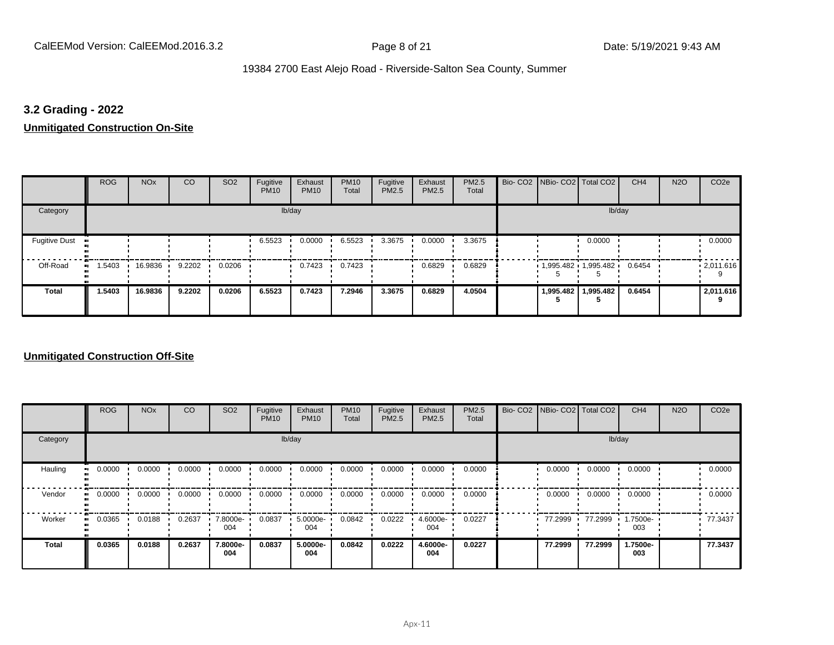# **3.2 Grading - 2022**

**Unmitigated Construction On-Site**

|                                   | <b>ROG</b> | <b>NO<sub>x</sub></b> | CO     | SO <sub>2</sub> | Fugitive<br><b>PM10</b> | Exhaust<br><b>PM10</b> | <b>PM10</b><br>Total | Fugitive<br>PM2.5 | Exhaust<br>PM2.5 | PM2.5<br>Total | Bio- CO2   NBio- CO2   Total CO2 |           | CH <sub>4</sub> | <b>N2O</b> | CO <sub>2e</sub> |
|-----------------------------------|------------|-----------------------|--------|-----------------|-------------------------|------------------------|----------------------|-------------------|------------------|----------------|----------------------------------|-----------|-----------------|------------|------------------|
| Category                          |            |                       |        |                 |                         | lb/day                 |                      |                   |                  |                |                                  | lb/day    |                 |            |                  |
| <b>Fugitive Dust</b><br>$\bullet$ |            |                       |        |                 | 6.5523                  | 0.0000                 | 6.5523               | 3.3675            | 0.0000           | 3.3675         |                                  | 0.0000    |                 |            | 0.0000           |
| Off-Road<br>$\bullet$ .           | 1.5403     | 16.9836               | 9.2202 | 0.0206          |                         | 0.7423                 | 0.7423               |                   | 0.6829           | 0.6829         | $1,995.482$ 1,995.482            |           | 0.6454          |            | .2011.616        |
| <b>Total</b>                      | 1.5403     | 16.9836               | 9.2202 | 0.0206          | 6.5523                  | 0.7423                 | 7.2946               | 3.3675            | 0.6829           | 4.0504         | 1,995.482                        | 1,995.482 | 0.6454          |            | 2,011.616        |

#### **Unmitigated Construction Off-Site**

|              | <b>ROG</b>   | <b>NO<sub>x</sub></b>   | CO     | SO <sub>2</sub> | Fugitive<br><b>PM10</b> | Exhaust<br><b>PM10</b> | <b>PM10</b><br>Total | Fugitive<br>PM2.5 | Exhaust<br>PM2.5   | PM2.5<br>Total | Bio- CO2   NBio- CO2   Total CO2 |         | CH <sub>4</sub> | <b>N2O</b> | CO <sub>2e</sub> |
|--------------|--------------|-------------------------|--------|-----------------|-------------------------|------------------------|----------------------|-------------------|--------------------|----------------|----------------------------------|---------|-----------------|------------|------------------|
| Category     |              |                         |        |                 |                         | lb/day                 |                      |                   |                    |                |                                  |         | lb/day          |            |                  |
| Hauling      | 0.0000<br>   | $0.0000$ $\blacksquare$ | 0.0000 | 0.0000          | 0.0000                  | 0.0000                 | 0.0000               | 0.0000            | 0.0000             | 0.0000         | 0.0000                           | 0.0000  | 0.0000          |            | 0.0000           |
| Vendor       | 0.0000<br>п. | 0.0000                  | 0.0000 | 0.0000          | 0.0000                  | 0.0000                 | 0.0000               | 0.0000            | 0.0000             | 0.0000         | 0.0000                           | 0.0000  | 0.0000          |            | 0.0000           |
| Worker       | 0.0365<br>п. | 0.0188                  | 0.2637 | 7.8000e-<br>004 | 0.0837                  | 5.0000e-<br>004        | 0.0842               | 0.0222            | $4.6000e -$<br>004 | 0.0227         | 77.2999                          | 77.2999 | 1.7500e-<br>003 |            | 77.3437          |
| <b>Total</b> | 0.0365       | 0.0188                  | 0.2637 | 7.8000e-<br>004 | 0.0837                  | 5.0000e-<br>004        | 0.0842               | 0.0222            | 4.6000e-<br>004    | 0.0227         | 77.2999                          | 77.2999 | 1.7500e-<br>003 |            | 77.3437          |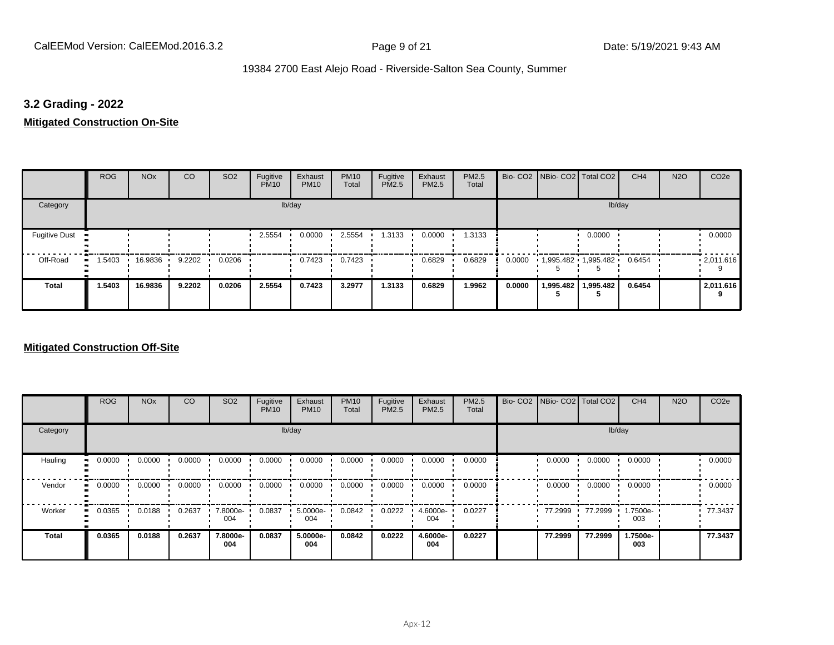## **3.2 Grading - 2022**

**Mitigated Construction On-Site**

|                      | <b>ROG</b> | <b>NO<sub>x</sub></b> | CO     | SO <sub>2</sub> | Fugitive<br><b>PM10</b> | Exhaust<br><b>PM10</b> | <b>PM10</b><br>Total | Fugitive<br><b>PM2.5</b> | Exhaust<br><b>PM2.5</b> | <b>PM2.5</b><br>Total |        | Bio- CO2 NBio- CO2 Total CO2   |           | CH <sub>4</sub> | <b>N2O</b> | CO <sub>2e</sub>  |
|----------------------|------------|-----------------------|--------|-----------------|-------------------------|------------------------|----------------------|--------------------------|-------------------------|-----------------------|--------|--------------------------------|-----------|-----------------|------------|-------------------|
| Category             |            |                       |        |                 |                         | lb/day                 |                      |                          |                         |                       |        |                                | lb/day    |                 |            |                   |
| <b>Fugitive Dust</b> |            |                       |        |                 | 2.5554                  | 0.0000                 | 2.5554               | 1.3133                   | 0.0000                  | 1.3133                |        |                                | 0.0000    |                 |            | 0.0000            |
| Off-Road             | 1.5403     | 16.9836               | 9.2202 | 0.0206          |                         | 0.7423                 | 0.7423               |                          | 0.6829                  | 0.6829                | 0.0000 | $1,995.482$ $1,995.482$ 0.6454 |           |                 |            | $\cdot$ 2,011.616 |
| Total                | 1.5403     | 16.9836               | 9.2202 | 0.0206          | 2.5554                  | 0.7423                 | 3.2977               | 1.3133                   | 0.6829                  | 1.9962                | 0.0000 | 1,995.482                      | 1,995.482 | 0.6454          |            | 2,011.616         |

#### **Mitigated Construction Off-Site**

|                        | <b>ROG</b>               | <b>NO<sub>x</sub></b> | CO     | SO <sub>2</sub> | Fugitive<br><b>PM10</b> | Exhaust<br><b>PM10</b> | <b>PM10</b><br>Total | Fugitive<br><b>PM2.5</b> | Exhaust<br>PM2.5 | PM2.5<br>Total | Bio- CO2   NBio- CO2   Total CO2 |         | CH <sub>4</sub> | <b>N2O</b> | CO <sub>2e</sub> |
|------------------------|--------------------------|-----------------------|--------|-----------------|-------------------------|------------------------|----------------------|--------------------------|------------------|----------------|----------------------------------|---------|-----------------|------------|------------------|
| Category               |                          |                       |        |                 |                         | lb/day                 |                      |                          |                  |                |                                  |         | lb/day          |            |                  |
| Hauling                | 0.0000<br>$\blacksquare$ | 0.0000                | 0.0000 | 0.0000          | 0.0000                  | 0.0000                 | 0.0000               | 0.0000                   | 0.0000           | 0.0000         | 0.0000                           | 0.0000  | 0.0000          |            | 0.0000           |
| Vendor<br>$\mathbf{u}$ | 0.0000                   | 0.0000                | 0.0000 | 0.0000          | 0.0000                  | 0.0000                 | 0.0000               | 0.0000                   | 0.0000           | 0.0000         | 0.0000                           | 0.0000  | 0.0000          |            | 0.0000           |
| Worker<br>$\bullet$    | 0.0365                   | 0.0188                | 0.2637 | 7.8000e-<br>004 | 0.0837                  | 5.0000e-<br>004        | 0.0842               | 0.0222                   | 4.6000e-<br>004  | 0.0227         | 77.2999                          | 77.2999 | 1.7500e-<br>003 |            | 77.3437          |
| <b>Total</b>           | 0.0365                   | 0.0188                | 0.2637 | 7.8000e-<br>004 | 0.0837                  | 5.0000e-<br>004        | 0.0842               | 0.0222                   | 4.6000e-<br>004  | 0.0227         | 77.2999                          | 77.2999 | 1.7500e-<br>003 |            | 77.3437          |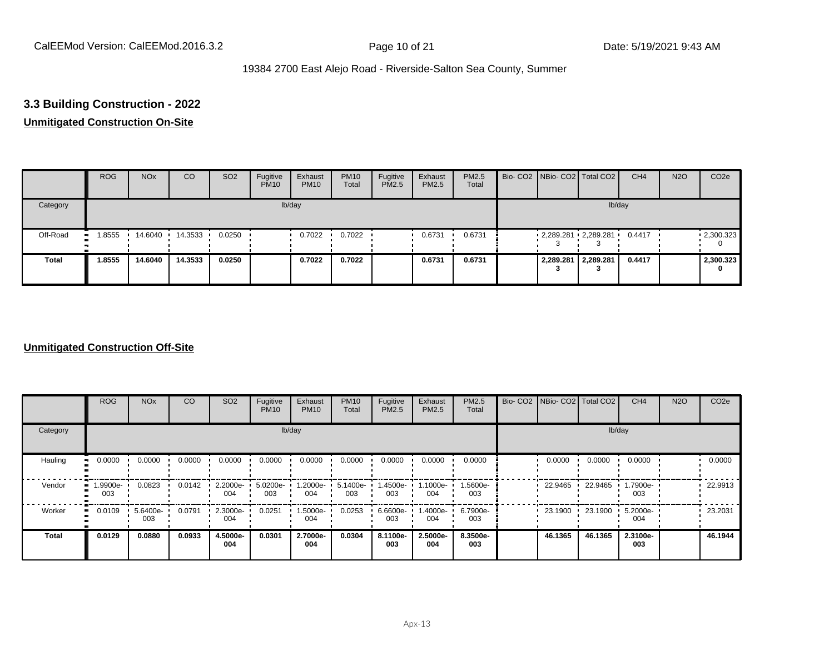# **3.3 Building Construction - 2022**

# **Unmitigated Construction On-Site**

|              | <b>ROG</b> | <b>NO<sub>x</sub></b> | CO      | SO <sub>2</sub> | Fugitive<br><b>PM10</b> | Exhaust<br><b>PM10</b> | <b>PM10</b><br>Total | Fugitive<br>PM2.5 | Exhaust<br>PM2.5 | <b>PM2.5</b><br>Total |    | Bio- CO2   NBio- CO2   Total CO2 | CH <sub>4</sub> | <b>N2O</b> | CO <sub>2e</sub>  |
|--------------|------------|-----------------------|---------|-----------------|-------------------------|------------------------|----------------------|-------------------|------------------|-----------------------|----|----------------------------------|-----------------|------------|-------------------|
| Category     |            |                       |         |                 |                         | lb/day                 |                      |                   |                  |                       |    | lb/day                           |                 |            |                   |
| Off-Road     | .8555      | 14.6040               | 14.3533 | 0.0250          |                         | 0.7022                 | 0.7022               |                   | 0.6731           | 0.6731                |    | $2,289.281$ 2,289.281            | 0.4417          |            | $\cdot$ 2,300.323 |
| <b>Total</b> | 1.8555     | 14.6040               | 14.3533 | 0.0250          |                         | 0.7022                 | 0.7022               |                   | 0.6731           | 0.6731                | ٠J | 2,289.281 2,289.281              | 0.4417          |            | 2,300.323         |

#### **Unmitigated Construction Off-Site**

|          | <b>ROG</b>      | <b>NO<sub>x</sub></b> | CO     | SO <sub>2</sub> | Fugitive<br><b>PM10</b> | Exhaust<br><b>PM10</b> | <b>PM10</b><br>Total | Fugitive<br><b>PM2.5</b> | Exhaust<br>PM2.5 | <b>PM2.5</b><br>Total | Bio- CO2   NBio- CO2   Total CO2 |         | CH <sub>4</sub> | <b>N2O</b> | CO <sub>2e</sub> |
|----------|-----------------|-----------------------|--------|-----------------|-------------------------|------------------------|----------------------|--------------------------|------------------|-----------------------|----------------------------------|---------|-----------------|------------|------------------|
| Category |                 |                       |        |                 |                         | lb/day                 |                      |                          |                  |                       |                                  |         | lb/day          |            |                  |
| Hauling  | 0.0000          | 0.0000                | 0.0000 | 0.0000          | 0.0000                  | 0.0000                 | 0.0000               | 0.0000                   | 0.0000           | 0.0000                | 0.0000                           | 0.0000  | 0.0000          |            | 0.0000           |
| Vendor   | 1.9900e-<br>003 | 0.0823                | 0.0142 | 2.2000e-<br>004 | 5.0200e-<br>003         | 1.2000e-<br>004        | 5.1400e-<br>003      | -4500e.<br>003           | 1.1000e-<br>004  | 1.5600e-<br>003       | 22.9465                          | 22.9465 | 1.7900e-<br>003 |            | 22.9913          |
| Worker   | 0.0109          | 5.6400e-<br>003       | 0.0791 | 2.3000e-<br>004 | 0.0251                  | 1.5000e-<br>004        | 0.0253               | 6.6600e-<br>003          | -4000e-<br>004   | 6.7900e-<br>003       | 23.1900                          | 23.1900 | 5.2000e-<br>004 |            | 23.2031          |
| Total    | 0.0129          | 0.0880                | 0.0933 | 4.5000e-<br>004 | 0.0301                  | 2.7000e-<br>004        | 0.0304               | 8.1100e-<br>003          | 2.5000e-<br>004  | 8.3500e-<br>003       | 46.1365                          | 46.1365 | 2.3100e-<br>003 |            | 46.1944          |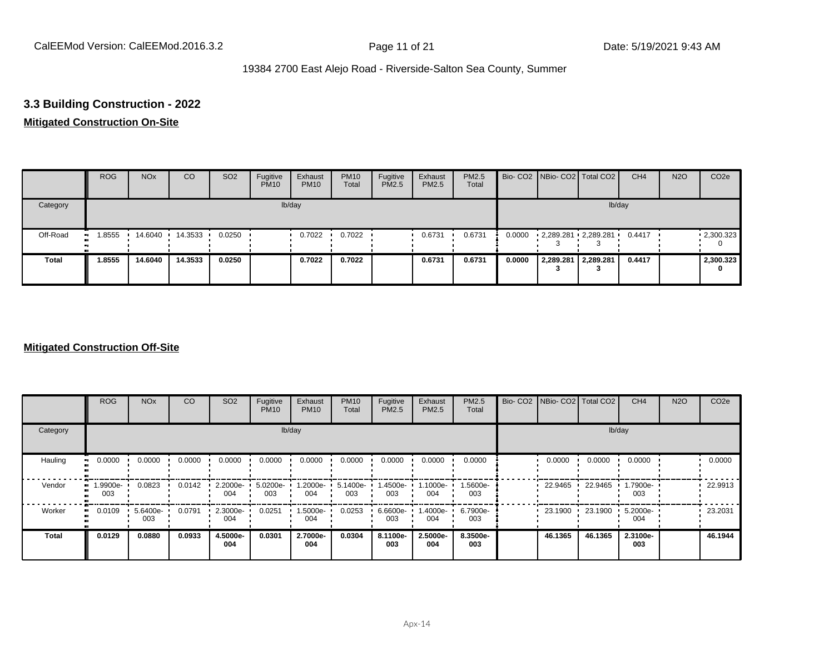## **3.3 Building Construction - 2022**

# **Mitigated Construction On-Site**

|              | <b>ROG</b> | <b>NO<sub>x</sub></b> | CO      | SO <sub>2</sub> | Fugitive<br><b>PM10</b> | Exhaust<br><b>PM10</b> | <b>PM10</b><br>Total | Fugitive<br><b>PM2.5</b> | Exhaust<br>PM2.5 | PM2.5<br>Total |        |           | Bio- CO2 NBio- CO2 Total CO2 | CH <sub>4</sub> | <b>N2O</b> | CO <sub>2e</sub>              |
|--------------|------------|-----------------------|---------|-----------------|-------------------------|------------------------|----------------------|--------------------------|------------------|----------------|--------|-----------|------------------------------|-----------------|------------|-------------------------------|
| Category     |            |                       |         |                 |                         | lb/day                 |                      |                          |                  |                |        |           | lb/day                       |                 |            |                               |
| Off-Road     | .8555      | 14.6040               | 14.3533 | 0.0250          |                         | 0.7022                 | 0.7022               |                          | 0.6731           | 0.6731         | 0.0000 |           | 2,289.281 2,289.281          | 0.4417          |            | $\cdot$ 2,300.323<br>$\Omega$ |
| <b>Total</b> | 1.8555     | 14.6040               | 14.3533 | 0.0250          |                         | 0.7022                 | 0.7022               |                          | 0.6731           | 0.6731         | 0.0000 | 2,289.281 | 2,289.281                    | 0.4417          |            | 2,300.323<br>0                |

#### **Mitigated Construction Off-Site**

|                     | <b>ROG</b>      | <b>NO<sub>x</sub></b> | CO     | SO <sub>2</sub> | Fugitive<br><b>PM10</b> | Exhaust<br><b>PM10</b> | <b>PM10</b><br>Total | Fugitive<br><b>PM2.5</b> | Exhaust<br>PM2.5  | PM2.5<br>Total  | Bio- CO2   NBio- CO2   Total CO2 |         | CH <sub>4</sub> | <b>N2O</b> | CO <sub>2e</sub> |
|---------------------|-----------------|-----------------------|--------|-----------------|-------------------------|------------------------|----------------------|--------------------------|-------------------|-----------------|----------------------------------|---------|-----------------|------------|------------------|
| Category            |                 |                       |        |                 | lb/day                  |                        |                      |                          |                   |                 |                                  | lb/day  |                 |            |                  |
| Hauling<br>. .      | 0.0000          | 0.0000                | 0.0000 | 0.0000          | 0.0000                  | 0.0000                 | 0.0000               | 0.0000                   | 0.0000            | 0.0000          | 0.0000                           | 0.0000  | 0.0000          |            | 0.0000           |
| Vendor<br>m         | 1.9900e-<br>003 | 0.0823                | 0.0142 | 2.2000e-<br>004 | 5.0200e-<br>003         | 1.2000e-<br>004        | 5.1400e-<br>003      | -4500e.<br>003           | .1000e-<br>004    | 1.5600e-<br>003 | 22.9465                          | 22.9465 | 1.7900e-<br>003 |            | 22.9913          |
| Worker<br>$\bullet$ | 0.0109          | 5.6400e-<br>003       | 0.0791 | 2.3000e-<br>004 | 0.0251                  | 1.5000e-<br>004        | 0.0253               | 6.6600e-<br>003          | $.4000e -$<br>004 | 6.7900e-<br>003 | 23.1900                          | 23.1900 | 5.2000e-<br>004 |            | 23.2031          |
| <b>Total</b>        | 0.0129          | 0.0880                | 0.0933 | 4.5000e-<br>004 | 0.0301                  | 2.7000e-<br>004        | 0.0304               | 8.1100e-<br>003          | 2.5000e-<br>004   | 8.3500e-<br>003 | 46.1365                          | 46.1365 | 2.3100e-<br>003 |            | 46.1944          |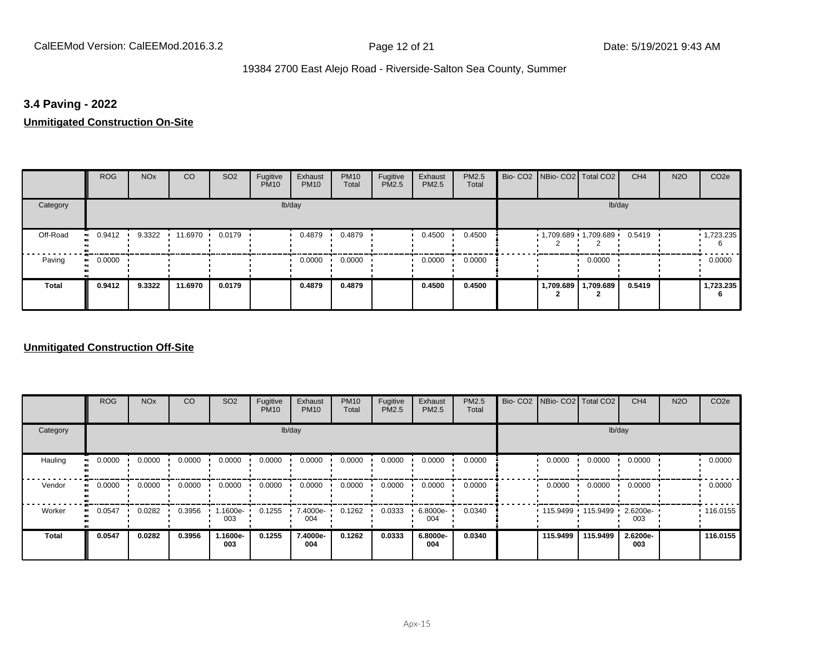## **3.4 Paving - 2022**

#### **Unmitigated Construction On-Site**

|              | <b>ROG</b>                 | <b>NO<sub>x</sub></b> | CO      | SO <sub>2</sub> | Fugitive<br><b>PM10</b> | Exhaust<br><b>PM10</b> | <b>PM10</b><br>Total | Fugitive<br>PM2.5 | Exhaust<br>PM2.5 | <b>PM2.5</b><br>Total | Bio- CO2 NBio- CO2 Total CO2 |           | CH <sub>4</sub> | <b>N2O</b> | CO <sub>2e</sub> |
|--------------|----------------------------|-----------------------|---------|-----------------|-------------------------|------------------------|----------------------|-------------------|------------------|-----------------------|------------------------------|-----------|-----------------|------------|------------------|
| Category     |                            |                       |         |                 |                         | lb/day                 |                      |                   |                  |                       |                              | lb/day    |                 |            |                  |
| Off-Road     | 0.9412<br>ш.               | 9.3322                | 11.6970 | 0.0179          |                         | 0.4879                 | 0.4879               |                   | 0.4500           | 0.4500                | $1,709.689$ 1,709.689        |           | 0.5419          |            | 1,723.235<br>6   |
| Paving       | 0.0000<br>$\bullet\bullet$ |                       |         |                 |                         | 0.0000                 | 0.0000               |                   | 0.0000           | 0.0000                |                              | 0.0000    |                 |            | 0.0000           |
| <b>Total</b> | 0.9412                     | 9.3322                | 11.6970 | 0.0179          |                         | 0.4879                 | 0.4879               |                   | 0.4500           | 0.4500                | 1,709.689                    | 1,709.689 | 0.5419          |            | 1,723.235<br>6   |

#### **Unmitigated Construction Off-Site**

|                        | <b>ROG</b> | <b>NO<sub>x</sub></b> | CO     | SO <sub>2</sub>  | Fugitive<br><b>PM10</b> | Exhaust<br><b>PM10</b> | <b>PM10</b><br>Total | Fugitive<br><b>PM2.5</b> | Exhaust<br>PM2.5 | PM2.5<br>Total | Bio- CO2   NBio- CO2   Total CO2 |                   | CH <sub>4</sub> | <b>N2O</b> | CO <sub>2e</sub> |
|------------------------|------------|-----------------------|--------|------------------|-------------------------|------------------------|----------------------|--------------------------|------------------|----------------|----------------------------------|-------------------|-----------------|------------|------------------|
| Category               |            |                       |        |                  |                         | lb/day                 |                      |                          |                  |                |                                  |                   | lb/day          |            |                  |
| Hauling<br>m           | 0.0000     | 0.0000                | 0.0000 | 0.0000           | 0.0000                  | 0.0000                 | 0.0000               | 0.0000                   | 0.0000           | 0.0000         | 0.0000                           | 0.0000            | 0.0000          |            | 0.0000           |
| Vendor<br>$\mathbf{u}$ | 0.0000     | 0.0000                | 0.0000 | 0.0000           | 0.0000                  | 0.0000                 | 0.0000               | 0.0000                   | 0.0000           | 0.0000         | 0.0000                           | 0.0000            | 0.0000          |            | 0.0000           |
| Worker<br>$\bullet$    | 0.0547     | 0.0282                | 0.3956 | 1.1600e-<br>003  | 0.1255                  | 7.4000e-<br>004        | 0.1262               | 0.0333                   | 6.8000e-<br>004  | 0.0340         |                                  | 115.9499 115.9499 | 2.6200e-<br>003 |            | .116.0155        |
| <b>Total</b>           | 0.0547     | 0.0282                | 0.3956 | $.1600e-$<br>003 | 0.1255                  | 7.4000e-<br>004        | 0.1262               | 0.0333                   | 6.8000e-<br>004  | 0.0340         | 115.9499                         | 115.9499          | 2.6200e-<br>003 |            | 116.0155         |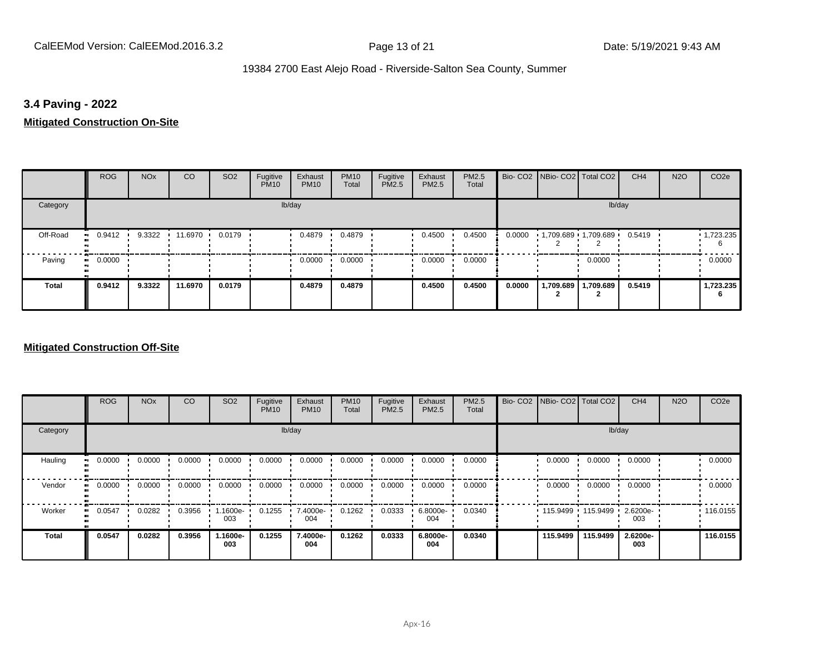## **3.4 Paving - 2022**

## **Mitigated Construction On-Site**

|              | <b>ROG</b>                 | <b>NO<sub>x</sub></b> | CO      | SO <sub>2</sub> | Fugitive<br><b>PM10</b> | Exhaust<br><b>PM10</b> | <b>PM10</b><br>Total | Fugitive<br>PM2.5 | Exhaust<br>PM2.5 | <b>PM2.5</b><br>Total |        | Bio- CO2 NBio- CO2 Total CO2    |           | CH <sub>4</sub> | <b>N2O</b> | CO <sub>2e</sub> |
|--------------|----------------------------|-----------------------|---------|-----------------|-------------------------|------------------------|----------------------|-------------------|------------------|-----------------------|--------|---------------------------------|-----------|-----------------|------------|------------------|
| Category     |                            |                       |         |                 |                         | lb/day                 |                      |                   |                  |                       |        |                                 | lb/day    |                 |            |                  |
| Off-Road     | 0.9412<br>ш.               | 9.3322                | 11.6970 | 0.0179          |                         | 0.4879                 | 0.4879               |                   | 0.4500           | 0.4500                | 0.0000 | $1,709.689$ $1,709.689$ $\cdot$ |           | 0.5419          |            | 1,723.235<br>6   |
| Paving       | 0.0000<br>$\bullet\bullet$ |                       |         |                 |                         | 0.0000                 | 0.0000               |                   | 0.0000           | 0.0000                |        |                                 | 0.0000    |                 |            | 0.0000           |
| <b>Total</b> | 0.9412                     | 9.3322                | 11.6970 | 0.0179          |                         | 0.4879                 | 0.4879               |                   | 0.4500           | 0.4500                | 0.0000 | 1,709.689                       | 1,709.689 | 0.5419          |            | 1,723.235<br>6   |

#### **Mitigated Construction Off-Site**

|                            | <b>ROG</b> | <b>NO<sub>x</sub></b> | CO     | SO <sub>2</sub> | Fugitive<br><b>PM10</b> | Exhaust<br><b>PM10</b> | <b>PM10</b><br>Total | Fugitive<br><b>PM2.5</b> | Exhaust<br>PM2.5 | PM2.5<br>Total | Bio- CO2   NBio- CO2   Total CO2 |                   | CH <sub>4</sub> | <b>N2O</b> | CO <sub>2e</sub> |
|----------------------------|------------|-----------------------|--------|-----------------|-------------------------|------------------------|----------------------|--------------------------|------------------|----------------|----------------------------------|-------------------|-----------------|------------|------------------|
| Category                   |            |                       |        |                 |                         | lb/day                 |                      |                          |                  |                |                                  |                   | lb/day          |            |                  |
| Hauling<br>$\bullet$       | 0.0000     | 0.0000                | 0.0000 | 0.0000          | 0.0000                  | 0.0000                 | 0.0000               | 0.0000                   | 0.0000           | 0.0000         | 0.0000                           | 0.0000            | 0.0000          |            | 0.0000           |
| Vendor<br>$\bullet$        | 0.0000     | 0.0000                | 0.0000 | 0.0000          | 0.0000                  | 0.0000                 | 0.0000               | 0.0000                   | 0.0000           | 0.0000         | 0.0000                           | 0.0000            | 0.0000          |            | 0.0000           |
| Worker<br>$\bullet\bullet$ | 0.0547     | 0.0282                | 0.3956 | 1.1600e-<br>003 | 0.1255                  | 7.4000e-<br>004        | 0.1262               | 0.0333                   | 6.8000e-<br>004  | 0.0340         |                                  | 115.9499 115.9499 | 2.6200e-<br>003 |            | .116.0155        |
| <b>Total</b>               | 0.0547     | 0.0282                | 0.3956 | 1.1600e-<br>003 | 0.1255                  | 7.4000e-<br>004        | 0.1262               | 0.0333                   | 6.8000e-<br>004  | 0.0340         | 115.9499                         | 115,9499          | 2.6200e-<br>003 |            | 116.0155         |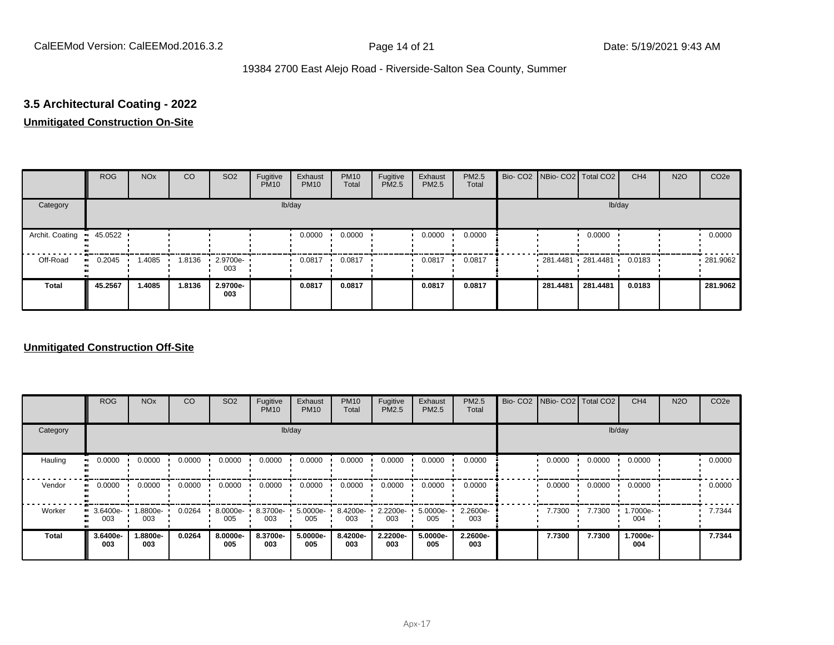# **3.5 Architectural Coating - 2022**

## **Unmitigated Construction On-Site**

|                 | <b>ROG</b>   | <b>NO<sub>x</sub></b> | CO     | SO <sub>2</sub>         | Fugitive<br><b>PM10</b> | Exhaust<br><b>PM10</b> | <b>PM10</b><br>Total | Fugitive<br>PM2.5 | Exhaust<br>PM2.5 | PM2.5<br>Total | Bio- CO2 NBio- CO2 Total CO2 |          | CH <sub>4</sub> | <b>N2O</b> | CO <sub>2e</sub> |
|-----------------|--------------|-----------------------|--------|-------------------------|-------------------------|------------------------|----------------------|-------------------|------------------|----------------|------------------------------|----------|-----------------|------------|------------------|
| Category        |              |                       |        |                         |                         | lb/day                 |                      |                   |                  |                |                              | lb/day   |                 |            |                  |
| Archit. Coating | 45.0522<br>. |                       |        |                         |                         | 0.0000                 | 0.0000               |                   | 0.0000           | 0.0000         |                              | 0.0000   |                 |            | 0.0000           |
| Off-Road        | 0.2045<br>ш. | 1.4085                | 1.8136 | $\cdot$ 2.9700e-<br>003 |                         | 0.0817                 | 0.0817               |                   | 0.0817           | 0.0817         | $281.4481$ 281.4481          |          | 0.0183          |            | .281.9062        |
| Total           | 45.2567      | 1.4085                | 1.8136 | 2.9700e-<br>003         |                         | 0.0817                 | 0.0817               |                   | 0.0817           | 0.0817         | 281.4481                     | 281.4481 | 0.0183          |            | 281.9062         |

#### **Unmitigated Construction Off-Site**

|          | <b>ROG</b>      | <b>NO<sub>x</sub></b> | CO     | SO <sub>2</sub>    | Fugitive<br><b>PM10</b> | Exhaust<br><b>PM10</b> | <b>PM10</b><br>Total | Fugitive<br><b>PM2.5</b> | Exhaust<br>PM2.5 | <b>PM2.5</b><br>Total | Bio- CO2   NBio- CO2   Total CO2 |        | CH <sub>4</sub> | <b>N2O</b> | CO <sub>2e</sub> |
|----------|-----------------|-----------------------|--------|--------------------|-------------------------|------------------------|----------------------|--------------------------|------------------|-----------------------|----------------------------------|--------|-----------------|------------|------------------|
| Category |                 |                       |        |                    |                         | lb/day                 |                      |                          |                  |                       |                                  |        | lb/day          |            |                  |
| Hauling  | 0.0000          | 0.0000                | 0.0000 | 0.0000             | 0.0000                  | 0.0000                 | 0.0000               | 0.0000                   | 0.0000           | 0.0000                | 0.0000                           | 0.0000 | 0.0000          |            | 0.0000           |
| Vendor   | 0.0000          | 0.0000                | 0.0000 | 0.0000             | 0.0000                  | 0.0000                 | 0.0000               | 0.0000                   | 0.0000           | 0.0000                | 0.0000                           | 0.0000 | 0.0000          |            | 0.0000           |
| Worker   | 3.6400e-<br>003 | 1.8800e-<br>003       | 0.0264 | $8.0000e -$<br>005 | 8.3700e-<br>003         | 5.0000e-<br>005        | 8.4200e-<br>003      | 2.2200e-<br>003          | 5.0000e-<br>005  | 2.2600e-<br>003       | 7.7300                           | 7.7300 | 1.7000e-<br>004 |            | 7.7344           |
| Total    | 3.6400e-<br>003 | 1.8800e-<br>003       | 0.0264 | 8.0000e-<br>005    | 8.3700e-<br>003         | 5.0000e-<br>005        | 8.4200e-<br>003      | 2.2200e-<br>003          | 5.0000e-<br>005  | 2.2600e-<br>003       | 7.7300                           | 7.7300 | 1.7000e-<br>004 |            | 7.7344           |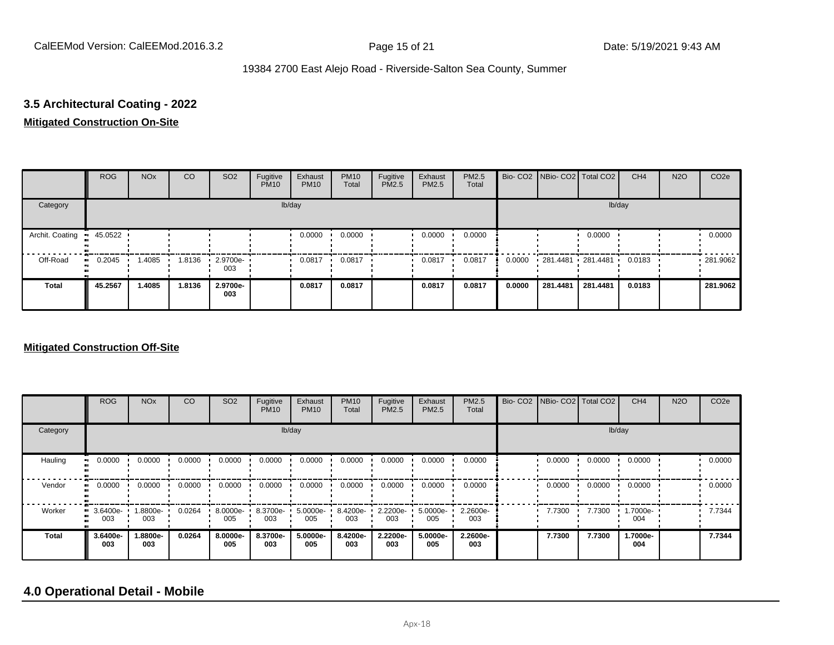# **3.5 Architectural Coating - 2022**

#### **Mitigated Construction On-Site**

|                                 | <b>ROG</b>          | <b>NO<sub>x</sub></b> | CO     | SO <sub>2</sub>         | Fugitive<br><b>PM10</b> | Exhaust<br><b>PM10</b> | <b>PM10</b><br>Total | Fugitive<br>PM2.5 | Exhaust<br>PM2.5 | PM2.5<br>Total |        | Bio- CO2   NBio- CO2   Total CO2 |          | CH <sub>4</sub> | <b>N2O</b> | CO <sub>2e</sub> |
|---------------------------------|---------------------|-----------------------|--------|-------------------------|-------------------------|------------------------|----------------------|-------------------|------------------|----------------|--------|----------------------------------|----------|-----------------|------------|------------------|
| Category                        |                     |                       |        |                         |                         | lb/day                 |                      |                   |                  |                |        |                                  | lb/day   |                 |            |                  |
| Archit. Coating<br>$\mathbf{u}$ | 45.0522             |                       |        |                         |                         | 0.0000                 | 0.0000               |                   | 0.0000           | 0.0000         |        |                                  | 0.0000   |                 |            | 0.0000           |
| Off-Road                        | 0.2045<br>$\bullet$ | 1.4085                | 1.8136 | $\cdot$ 2.9700e-<br>003 |                         | 0.0817                 | 0.0817               |                   | 0.0817           | 0.0817         | 0.0000 | 281.4481 281.4481 '              |          | 0.0183          |            | 281.9062         |
| Total                           | 45.2567             | 1.4085                | 1.8136 | 2.9700e-<br>003         |                         | 0.0817                 | 0.0817               |                   | 0.0817           | 0.0817         | 0.0000 | 281.4481                         | 281.4481 | 0.0183          |            | 281.9062         |

#### **Mitigated Construction Off-Site**

|              | <b>ROG</b>      | <b>NO<sub>x</sub></b> | CO     | SO <sub>2</sub> | Fugitive<br><b>PM10</b> | Exhaust<br><b>PM10</b> | <b>PM10</b><br>Total | Fugitive<br><b>PM2.5</b> | Exhaust<br>PM2.5 | <b>PM2.5</b><br>Total |        | Bio- CO2   NBio- CO2   Total CO2 | CH <sub>4</sub> | <b>N2O</b> | CO <sub>2e</sub> |
|--------------|-----------------|-----------------------|--------|-----------------|-------------------------|------------------------|----------------------|--------------------------|------------------|-----------------------|--------|----------------------------------|-----------------|------------|------------------|
| Category     |                 |                       |        |                 |                         | lb/day                 |                      |                          |                  |                       |        |                                  | lb/day          |            |                  |
| Hauling      | 0.0000          | 0.0000                | 0.0000 | 0.0000          | 0.0000                  | 0.0000                 | 0.0000               | 0.0000                   | 0.0000           | 0.0000                | 0.0000 | 0.0000                           | 0.0000          |            | 0.0000           |
| Vendor       | 0.0000          | 0.0000                | 0.0000 | 0.0000          | 0.0000                  | 0.0000                 | 0.0000               | 0.0000                   | 0.0000           | 0.0000                | 0.0000 | 0.0000                           | 0.0000          |            | 0.0000           |
| Worker       | 3.6400e-<br>003 | 1.8800e-<br>003       | 0.0264 | 8.0000e-<br>005 | 8.3700e-<br>003         | 5.0000e-<br>005        | 8.4200e-<br>003      | 2.2200e-<br>003          | 5.0000e-<br>005  | 2.2600e-<br>003       | 7.7300 | 7.7300                           | 1.7000e-<br>004 |            | 7.7344           |
| <b>Total</b> | 3.6400e-<br>003 | 1.8800e-<br>003       | 0.0264 | 8.0000e-<br>005 | 8.3700e-<br>003         | 5.0000e-<br>005        | 8.4200e-<br>003      | 2.2200e-<br>003          | 5.0000e-<br>005  | 2.2600e-<br>003       | 7.7300 | 7.7300                           | 1.7000e-<br>004 |            | 7.7344           |

# **4.0 Operational Detail - Mobile**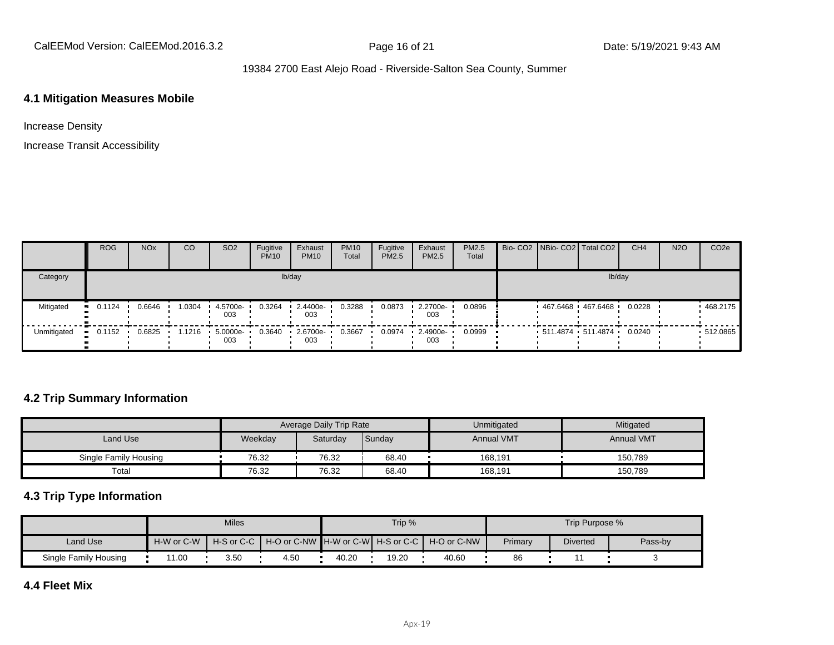CalEEMod Version: CalEEMod.2016.3.2 **Page 16 of 21** Page 16 of 21 Date: 5/19/2021 9:43 AM

#### 19384 2700 East Alejo Road - Riverside-Salton Sea County, Summer

## **4.1 Mitigation Measures Mobile**

Increase Density

Increase Transit Accessibility

|             | <b>ROG</b>            | <b>NO<sub>x</sub></b> | <sub>co</sub> | SO <sub>2</sub> | Fugitive<br><b>PM10</b> | Exhaust<br><b>PM10</b> | <b>PM10</b><br>Total | Fugitive<br>PM2.5 | Exhaust<br><b>PM2.5</b> | PM2.5<br>Total |  | Bio- CO2 NBio- CO2 Total CO2 | CH <sub>4</sub> | <b>N2O</b> | CO <sub>2</sub> e |
|-------------|-----------------------|-----------------------|---------------|-----------------|-------------------------|------------------------|----------------------|-------------------|-------------------------|----------------|--|------------------------------|-----------------|------------|-------------------|
| Category    | lb/day                |                       |               |                 |                         |                        |                      |                   |                         |                |  |                              | lb/day          |            |                   |
| Mitigated   | $\blacksquare$ 0.1124 | 0.6646                | 1.0304        | 4.5700e-<br>003 | 0.3264                  | 2.4400e-<br>003        | 0.3288               | 0.0873            | 2.2700e-<br>003         | 0.0896         |  | 467.6468 467.6468            | 0.0228          |            | 468.2175          |
| Unmitigated | 0.1152                | 0.6825                | 1.1216        | 5.0000e-<br>003 | 0.3640                  | 2.6700e-<br>003        | 0.3667               | 0.0974            | 2.4900e-<br>003         | 0.0999         |  | $-511.4874$ $-511.4874$ $-$  | 0.0240          |            | .512.0865         |

# **4.2 Trip Summary Information**

|                       |                     | Average Daily Trip Rate |        | Unmitigated       | Mitigated         |  |  |
|-----------------------|---------------------|-------------------------|--------|-------------------|-------------------|--|--|
| Land Use              | Weekdav<br>Saturday |                         | Sunday | <b>Annual VMT</b> | <b>Annual VMT</b> |  |  |
| Single Family Housing | 76.32               | 76.32                   | 68.40  | 168.191           | 150.789           |  |  |
| Total                 | 76.32               | 76.32                   | 68.40  | 168,191           | 150,789           |  |  |

## **4.3 Trip Type Information**

|                       |            | <b>Miles</b> |                                                              |       | Trip % |       | Trip Purpose % |                 |         |  |  |
|-----------------------|------------|--------------|--------------------------------------------------------------|-------|--------|-------|----------------|-----------------|---------|--|--|
| Land Use              | H-W or C-W |              | H-S or C-C H H-O or C-NW H-W or C-W H-S or C-C H H-O or C-NW |       |        |       | Primary        | <b>Diverted</b> | Pass-by |  |  |
| Single Family Housing | 1.00       | 3.50         | 4.50                                                         | 40.20 | 19.20  | 40.60 | 86             |                 |         |  |  |

#### **4.4 Fleet Mix**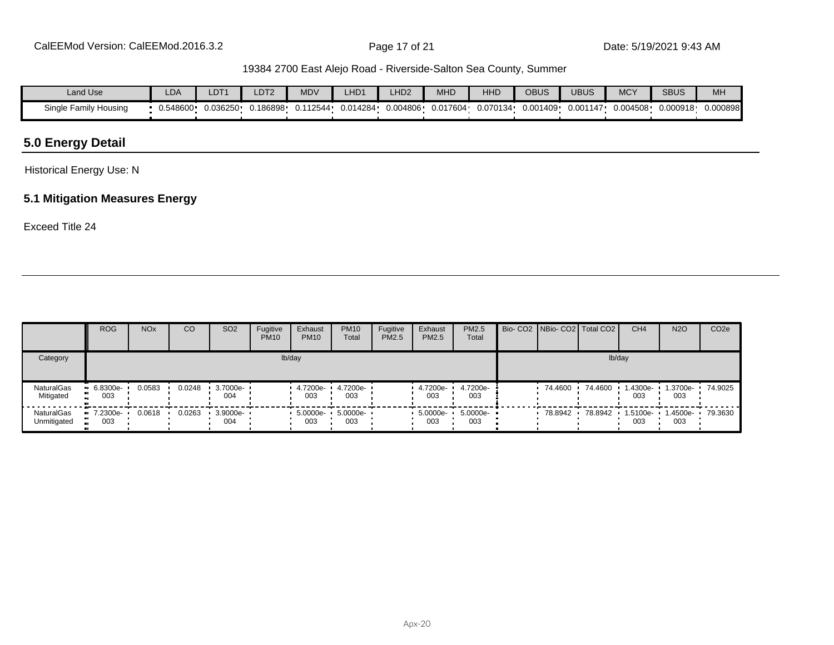| <b>Land Use</b>          | LDA      | LDT <sup>4</sup> | LDT <sub>2</sub> | <b>MDV</b> | LHD1     | H <sub>D2</sub> | MHD      | HHI      | OBUS     | UBUS     | <b>MCY</b> | <b>SBUS</b> | M <sub>H</sub> |
|--------------------------|----------|------------------|------------------|------------|----------|-----------------|----------|----------|----------|----------|------------|-------------|----------------|
| Single Family<br>Housing | J.548600 | J.036250         | 186898           | 0.112544   | 0.014284 | 0.004806        | 0.017604 | 0.070134 | 0.001409 | 0.001147 | 0.004508   | 0.000918    | 0.000898       |

# **5.0 Energy Detail**

Historical Energy Use: N

# **5.1 Mitigation Measures Energy**

Exceed Title 24

|                                  | <b>ROG</b>                           | <b>NO<sub>x</sub></b> | CO     | <b>SO2</b>      | Fugitive<br><b>PM10</b> | Exhaust<br><b>PM10</b> | <b>PM10</b><br>Total | Fugitive<br>PM2.5 | Exhaust<br><b>PM2.5</b> | PM2.5<br>Total  |  |         | Bio- CO2 NBio- CO2   Total CO2 | CH <sub>4</sub> | <b>N2O</b>      | CO <sub>2e</sub> |
|----------------------------------|--------------------------------------|-----------------------|--------|-----------------|-------------------------|------------------------|----------------------|-------------------|-------------------------|-----------------|--|---------|--------------------------------|-----------------|-----------------|------------------|
| Category                         | lb/day                               |                       |        |                 |                         |                        |                      |                   |                         | lb/day          |  |         |                                |                 |                 |                  |
| NaturalGas<br>Mitigated          | $-6.8300e-$<br>003                   | 0.0583                | 0.0248 | 3.7000e-<br>004 |                         | 4.7200e-<br>003        | 4.7200e-<br>003      |                   | 4.7200e-<br>003         | 4.7200e-<br>003 |  | 74.4600 | 74.4600                        | 1.4300e-<br>003 | 1.3700e-<br>003 | 74.9025          |
| <b>NaturalGas</b><br>Unmitigated | $\blacksquare$ 7.2300e-<br>003<br>ш. | 0.0618                | 0.0263 | 3.9000e-<br>004 |                         | 5.0000e-<br>003        | 5.0000e-<br>003      |                   | 5.0000e-<br>003         | 5.0000e-<br>003 |  | 78.8942 | 78.8942                        | 1.5100e-<br>003 | 1.4500e-<br>003 | 79.3630          |